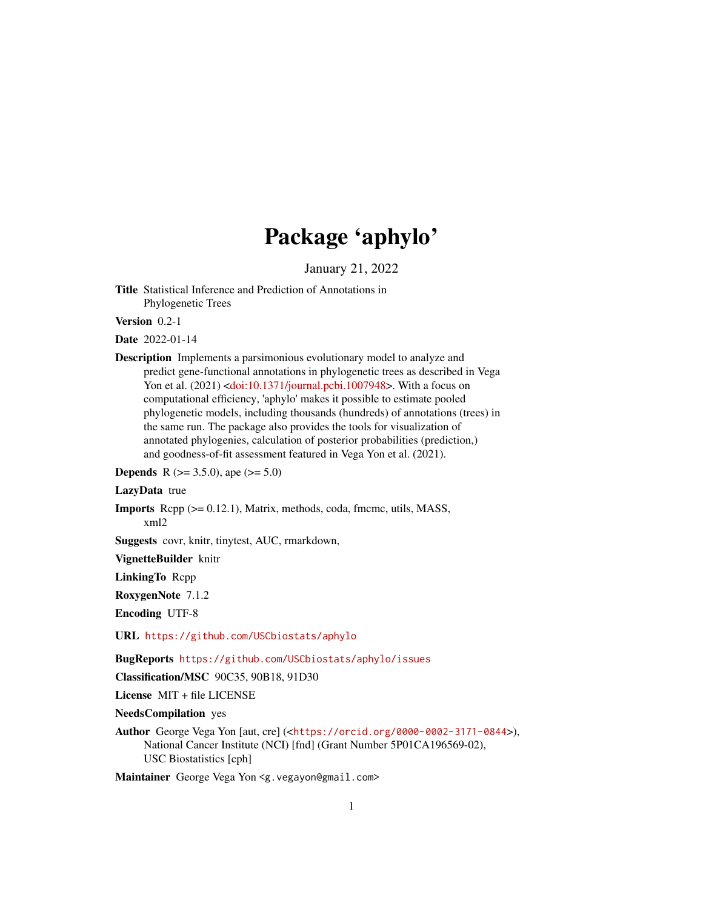# Package 'aphylo'

January 21, 2022

<span id="page-0-0"></span>Title Statistical Inference and Prediction of Annotations in Phylogenetic Trees

Version 0.2-1

Date 2022-01-14

Description Implements a parsimonious evolutionary model to analyze and predict gene-functional annotations in phylogenetic trees as described in Vega Yon et al. (2021) [<doi:10.1371/journal.pcbi.1007948>](https://doi.org/10.1371/journal.pcbi.1007948). With a focus on computational efficiency, 'aphylo' makes it possible to estimate pooled phylogenetic models, including thousands (hundreds) of annotations (trees) in the same run. The package also provides the tools for visualization of annotated phylogenies, calculation of posterior probabilities (prediction,) and goodness-of-fit assessment featured in Vega Yon et al. (2021).

**Depends** R ( $>= 3.5.0$ ), ape ( $>= 5.0$ )

LazyData true

Imports Rcpp (>= 0.12.1), Matrix, methods, coda, fmcmc, utils, MASS, xml2

Suggests covr, knitr, tinytest, AUC, rmarkdown,

VignetteBuilder knitr

LinkingTo Rcpp

RoxygenNote 7.1.2

Encoding UTF-8

URL <https://github.com/USCbiostats/aphylo>

BugReports <https://github.com/USCbiostats/aphylo/issues>

Classification/MSC 90C35, 90B18, 91D30

License MIT + file LICENSE

NeedsCompilation yes

Author George Vega Yon [aut, cre] (<<https://orcid.org/0000-0002-3171-0844>>), National Cancer Institute (NCI) [fnd] (Grant Number 5P01CA196569-02), USC Biostatistics [cph]

Maintainer George Vega Yon <g. vegayon@gmail.com>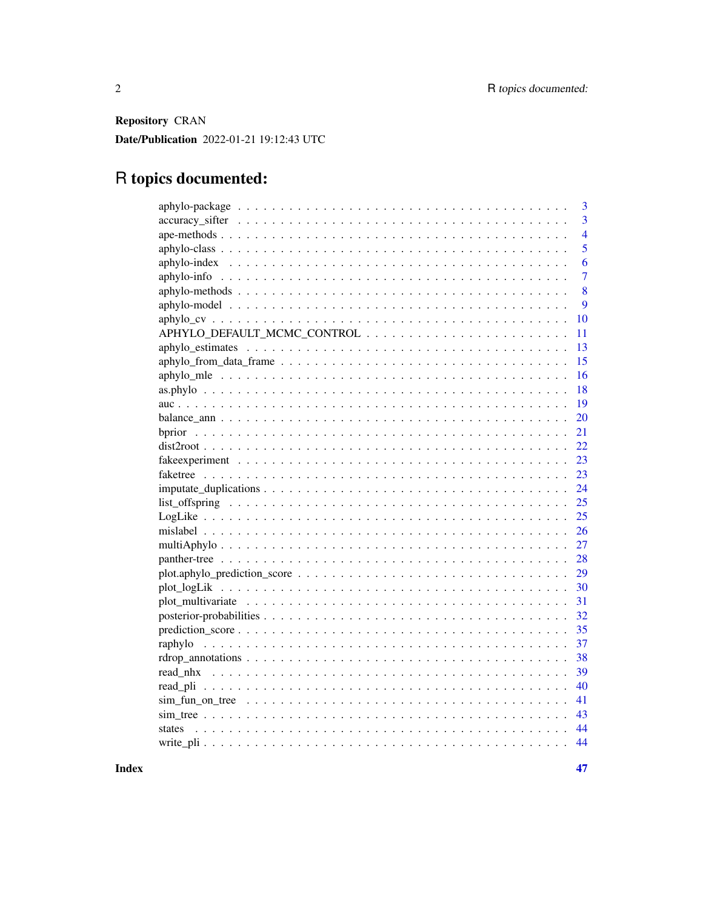Repository CRAN Date/Publication 2022-01-21 19:12:43 UTC

# R topics documented:

|                                                                                                      | 3              |
|------------------------------------------------------------------------------------------------------|----------------|
|                                                                                                      | $\overline{3}$ |
|                                                                                                      | $\overline{4}$ |
|                                                                                                      | 5              |
|                                                                                                      | 6              |
|                                                                                                      | $\overline{7}$ |
|                                                                                                      | 8              |
|                                                                                                      | 9              |
|                                                                                                      | 10             |
|                                                                                                      | 11             |
|                                                                                                      | 13             |
|                                                                                                      | 15             |
|                                                                                                      | 16             |
|                                                                                                      | 18             |
|                                                                                                      | 19             |
|                                                                                                      | 20             |
|                                                                                                      | 21             |
|                                                                                                      | 22             |
|                                                                                                      | 23             |
|                                                                                                      | 23             |
|                                                                                                      | 24             |
|                                                                                                      | 25             |
|                                                                                                      | 25             |
|                                                                                                      | 26             |
|                                                                                                      | 27             |
|                                                                                                      | 28             |
| $plot. applylo\_prediction\_score \dots \dots \dots \dots \dots \dots \dots \dots \dots \dots \dots$ | 29             |
|                                                                                                      | 30             |
|                                                                                                      | 31             |
|                                                                                                      | 32             |
|                                                                                                      | 35             |
|                                                                                                      | 37             |
|                                                                                                      | 38             |
|                                                                                                      | 39             |
|                                                                                                      | 40             |
|                                                                                                      | 41             |
|                                                                                                      | 43             |
| states                                                                                               | 44             |
|                                                                                                      | 44             |
|                                                                                                      |                |

**Index**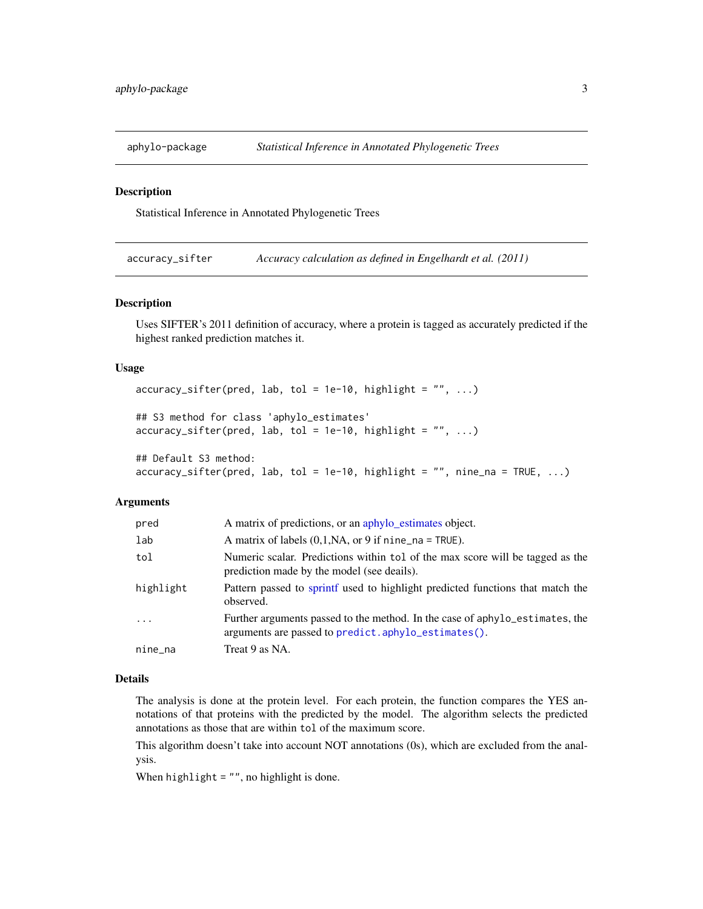<span id="page-2-0"></span>

#### Description

Statistical Inference in Annotated Phylogenetic Trees

accuracy\_sifter *Accuracy calculation as defined in Engelhardt et al. (2011)*

# Description

Uses SIFTER's 2011 definition of accuracy, where a protein is tagged as accurately predicted if the highest ranked prediction matches it.

#### Usage

```
accuracy\_sifter(pred, lab, tol = 1e-10, highlight = "", ...)
```

```
## S3 method for class 'aphylo_estimates'
accuracy\_sifter(pred, lab, tol = 1e-10, highlight = "", ...)
```

```
## Default S3 method:
accuracy\_sifter(pred, lab, tol = 1e-10, highlight = "", nine_na = TRUE, ...)
```
#### Arguments

| pred      | A matrix of predictions, or an aphylo_estimates object.                                                                             |
|-----------|-------------------------------------------------------------------------------------------------------------------------------------|
| lab       | A matrix of labels $(0,1,NA,$ or 9 if nine_na = TRUE).                                                                              |
| tol       | Numeric scalar. Predictions within tol of the max score will be tagged as the<br>prediction made by the model (see deails).         |
| highlight | Pattern passed to sprint used to highlight predicted functions that match the<br>observed.                                          |
| $\cdots$  | Further arguments passed to the method. In the case of aphylo_estimates, the<br>arguments are passed to predict.aphylo_estimates(). |
| nine_na   | Treat 9 as NA.                                                                                                                      |

#### Details

The analysis is done at the protein level. For each protein, the function compares the YES annotations of that proteins with the predicted by the model. The algorithm selects the predicted annotations as those that are within tol of the maximum score.

This algorithm doesn't take into account NOT annotations (0s), which are excluded from the analysis.

When  $highlight = "", no highlight is done.$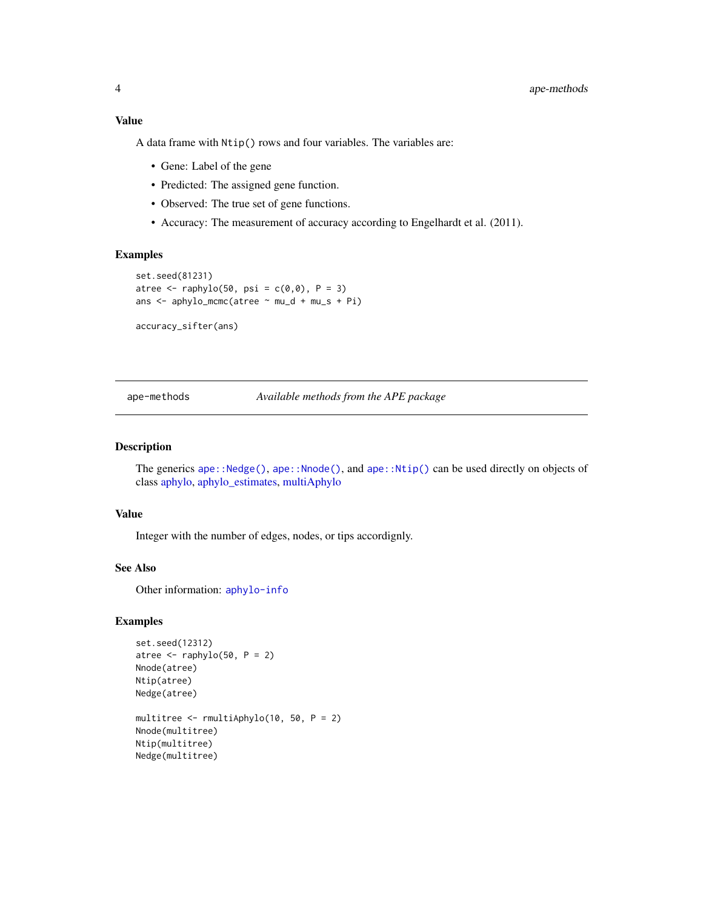### <span id="page-3-0"></span>Value

A data frame with Ntip() rows and four variables. The variables are:

- Gene: Label of the gene
- Predicted: The assigned gene function.
- Observed: The true set of gene functions.
- Accuracy: The measurement of accuracy according to Engelhardt et al. (2011).

#### Examples

```
set.seed(81231)
atree \leq raphylo(50, psi = c(0,0), P = 3)
ans <- aphylo_mcmc(atree ~ mu_d + mu_s + Pi)
```
accuracy\_sifter(ans)

<span id="page-3-1"></span>ape-methods *Available methods from the APE package*

#### Description

The generics [ape::Nedge\(\)](#page-0-0), [ape::Nnode\(\)](#page-0-0), and [ape::Ntip\(\)](#page-0-0) can be used directly on objects of class [aphylo,](#page-4-1) [aphylo\\_estimates,](#page-12-1) [multiAphylo](#page-26-1)

#### Value

Integer with the number of edges, nodes, or tips accordignly.

# See Also

Other information: [aphylo-info](#page-6-1)

#### Examples

```
set.seed(12312)
atree \leq raphylo(50, P = 2)
Nnode(atree)
Ntip(atree)
Nedge(atree)
multitree <- rmultiAphylo(10, 50, P = 2)
Nnode(multitree)
Ntip(multitree)
Nedge(multitree)
```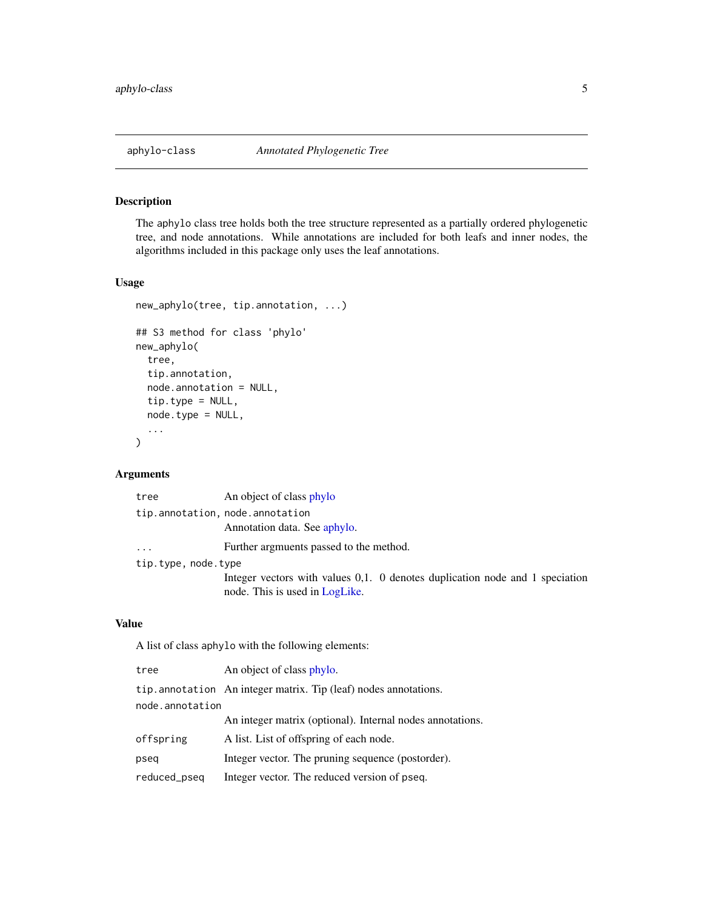<span id="page-4-2"></span><span id="page-4-0"></span>

# <span id="page-4-1"></span>Description

The aphylo class tree holds both the tree structure represented as a partially ordered phylogenetic tree, and node annotations. While annotations are included for both leafs and inner nodes, the algorithms included in this package only uses the leaf annotations.

# Usage

```
new_aphylo(tree, tip.annotation, ...)
## S3 method for class 'phylo'
new_aphylo(
  tree,
  tip.annotation,
  node.annotation = NULL,
  tip.type = NULL,
  node.type = NULL,
  ...
\mathcal{L}
```
# Arguments

| tree                | An object of class phylo                                                                                       |
|---------------------|----------------------------------------------------------------------------------------------------------------|
|                     | tip.annotation, node.annotation<br>Annotation data. See aphylo.                                                |
| $\cdots$            | Further argmuents passed to the method.                                                                        |
| tip.type, node.type |                                                                                                                |
|                     | Integer vectors with values 0,1. 0 denotes duplication node and 1 speciation<br>node. This is used in LogLike. |

### Value

A list of class aphylo with the following elements:

| tree            | An object of class phylo.                                       |  |
|-----------------|-----------------------------------------------------------------|--|
|                 | tip.annotation An integer matrix. Tip (leaf) nodes annotations. |  |
| node.annotation |                                                                 |  |
|                 | An integer matrix (optional). Internal nodes annotations.       |  |
| offspring       | A list. List of offspring of each node.                         |  |
| pseq            | Integer vector. The pruning sequence (postorder).               |  |
| reduced_pseq    | Integer vector. The reduced version of pseq.                    |  |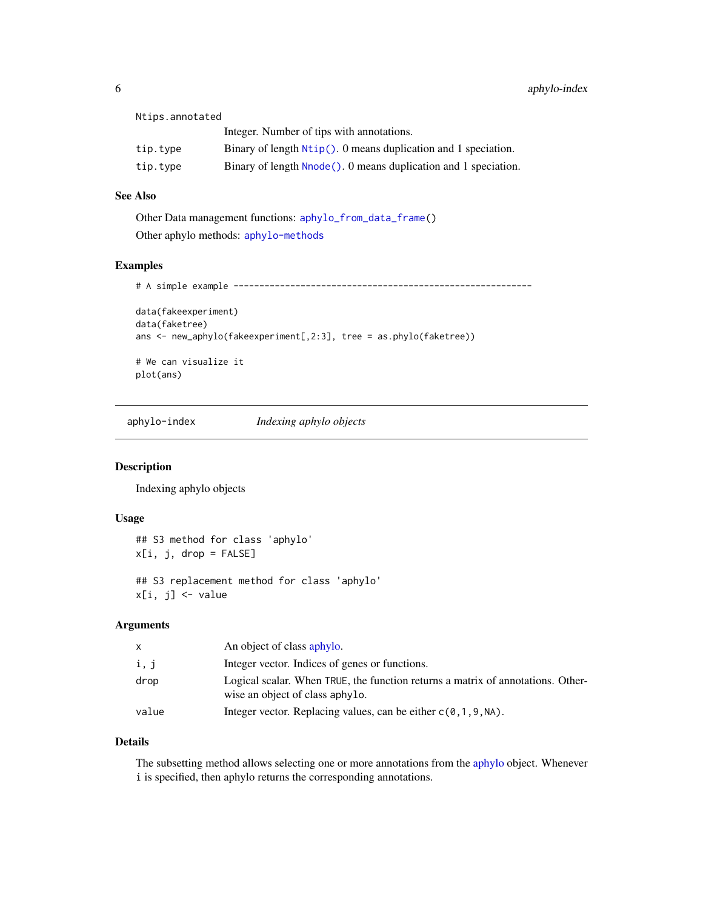<span id="page-5-0"></span>

| Ntips.annotated |                                                                   |
|-----------------|-------------------------------------------------------------------|
|                 | Integer. Number of tips with annotations.                         |
| tip.type        | Binary of length $Ntip()$ . O means duplication and 1 speciation. |
| tip.type        | Binary of length Nnode (). 0 means duplication and 1 speciation.  |

# See Also

```
Other Data management functions: aphylo_from_data_frame()
Other aphylo methods: aphylo-methods
```
### Examples

# A simple example ----------------------------------------------------------

```
data(fakeexperiment)
data(faketree)
ans <- new_aphylo(fakeexperiment[,2:3], tree = as.phylo(faketree))
# We can visualize it
```
plot(ans)

aphylo-index *Indexing aphylo objects*

# Description

Indexing aphylo objects

### Usage

```
## S3 method for class 'aphylo'
x[i, j, drop = FALSE]
```

```
## S3 replacement method for class 'aphylo'
x[i, j] <- value
```
# Arguments

| X     | An object of class aphylo.                                                                                         |
|-------|--------------------------------------------------------------------------------------------------------------------|
| i, j  | Integer vector. Indices of genes or functions.                                                                     |
| drop  | Logical scalar. When TRUE, the function returns a matrix of annotations. Other-<br>wise an object of class aphylo. |
| value | Integer vector. Replacing values, can be either $c(0, 1, 9, NA)$ .                                                 |

#### Details

The subsetting method allows selecting one or more annotations from the [aphylo](#page-4-1) object. Whenever i is specified, then aphylo returns the corresponding annotations.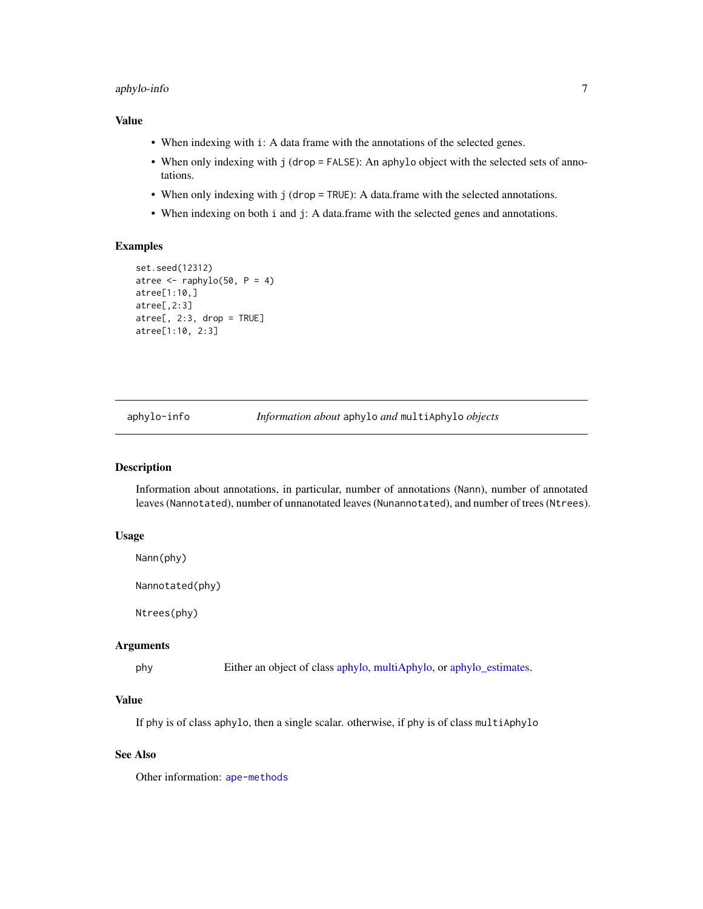# <span id="page-6-0"></span>aphylo-info 7

### Value

- When indexing with i: A data frame with the annotations of the selected genes.
- When only indexing with j (drop = FALSE): An aphylo object with the selected sets of annotations.
- When only indexing with j (drop = TRUE): A data.frame with the selected annotations.
- When indexing on both i and j: A data.frame with the selected genes and annotations.

# Examples

```
set.seed(12312)
atree \leq raphylo(50, P = 4)
atree[1:10,]
atree[,2:3]
\text{atree}[, 2:3, drop = TRUE]
atree[1:10, 2:3]
```
<span id="page-6-1"></span>aphylo-info *Information about* aphylo *and* multiAphylo *objects*

# <span id="page-6-2"></span>Description

Information about annotations, in particular, number of annotations (Nann), number of annotated leaves (Nannotated), number of unnanotated leaves (Nunannotated), and number of trees (Ntrees).

#### Usage

Nann(phy)

Nannotated(phy)

Ntrees(phy)

#### Arguments

phy Either an object of class [aphylo,](#page-4-1) [multiAphylo,](#page-26-1) or [aphylo\\_estimates.](#page-12-1)

### Value

If phy is of class aphylo, then a single scalar. otherwise, if phy is of class multiAphylo

### See Also

Other information: [ape-methods](#page-3-1)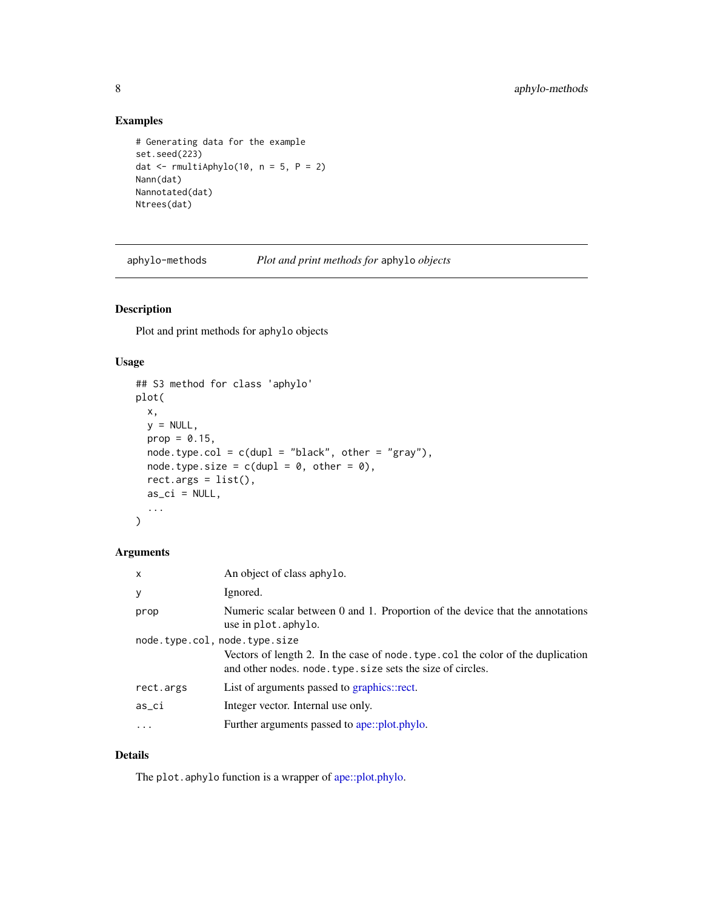# Examples

```
# Generating data for the example
set.seed(223)
dat \le rmultiAphylo(10, n = 5, P = 2)
Nann(dat)
Nannotated(dat)
Ntrees(dat)
```
<span id="page-7-1"></span>aphylo-methods *Plot and print methods for* aphylo *objects*

# Description

Plot and print methods for aphylo objects

# Usage

```
## S3 method for class 'aphylo'
plot(
 x,
 y = NULL,prop = 0.15,
 node_type.col = c(dupl = "black", other = "gray"),node-type.size = c(dup1 = 0, other = 0),rect. args = list(),
 as\_ci = NULL,...
)
```
# Arguments

| X                             | An object of class aphylo.                                                                                                                    |  |
|-------------------------------|-----------------------------------------------------------------------------------------------------------------------------------------------|--|
| У                             | Ignored.                                                                                                                                      |  |
| prop                          | Numeric scalar between 0 and 1. Proportion of the device that the annotations<br>use in plot. aphylo.                                         |  |
| node.type.col, node.type.size |                                                                                                                                               |  |
|                               | Vectors of length 2. In the case of node type col the color of the duplication<br>and other nodes. node. type. size sets the size of circles. |  |
| rect.args                     | List of arguments passed to graphics::rect.                                                                                                   |  |
| as_ci                         | Integer vector. Internal use only.                                                                                                            |  |
| .                             | Further arguments passed to ape::plot.phylo.                                                                                                  |  |

### Details

The plot.aphylo function is a wrapper of [ape::plot.phylo.](#page-0-0)

<span id="page-7-0"></span>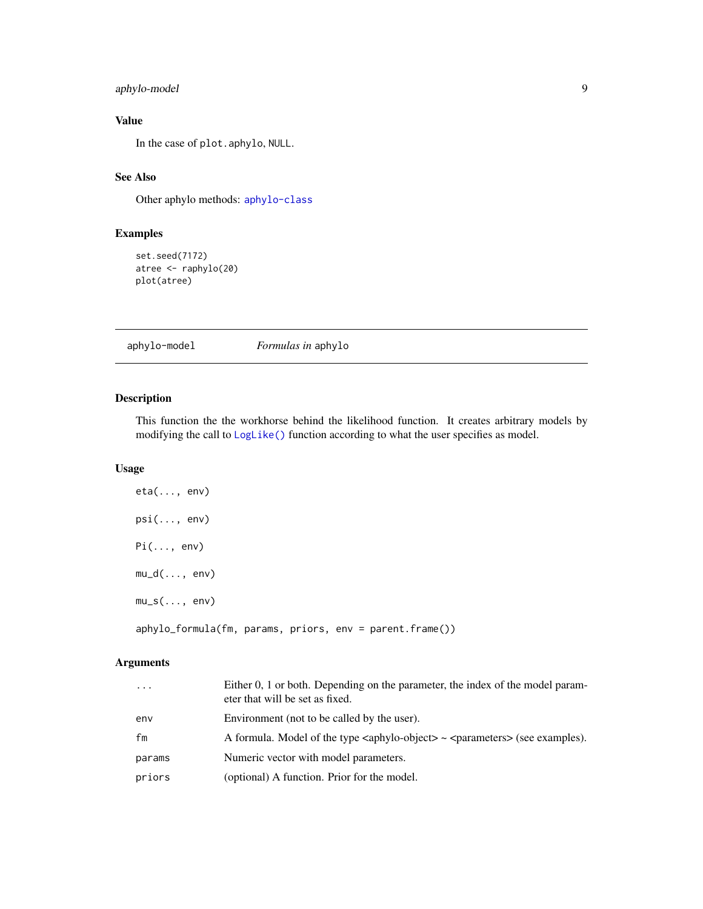# <span id="page-8-0"></span>aphylo-model 9

# Value

In the case of plot.aphylo, NULL.

# See Also

Other aphylo methods: [aphylo-class](#page-4-2)

### Examples

```
set.seed(7172)
atree <- raphylo(20)
plot(atree)
```
<span id="page-8-1"></span>aphylo-model *Formulas in* aphylo

# Description

This function the the workhorse behind the likelihood function. It creates arbitrary models by modifying the call to [LogLike\(\)](#page-24-1) function according to what the user specifies as model.

### Usage

| $eta(\ldots, env)$                                         |  |  |  |
|------------------------------------------------------------|--|--|--|
| $psi(\ldots, env)$                                         |  |  |  |
| $Pi(\ldots, env)$                                          |  |  |  |
| $mu_d(, env)$                                              |  |  |  |
| $mu_s(, env)$                                              |  |  |  |
| $aphylo_formula(fm, params, priors, env = parent.frame())$ |  |  |  |

# Arguments

| $\ddots$ | Either 0, 1 or both. Depending on the parameter, the index of the model param-<br>eter that will be set as fixed.          |
|----------|----------------------------------------------------------------------------------------------------------------------------|
| env      | Environment (not to be called by the user).                                                                                |
| fm       | A formula. Model of the type $\langle \text{aphylo-object} \rangle \sim \langle \text{parameters} \rangle$ (see examples). |
| params   | Numeric vector with model parameters.                                                                                      |
| priors   | (optional) A function. Prior for the model.                                                                                |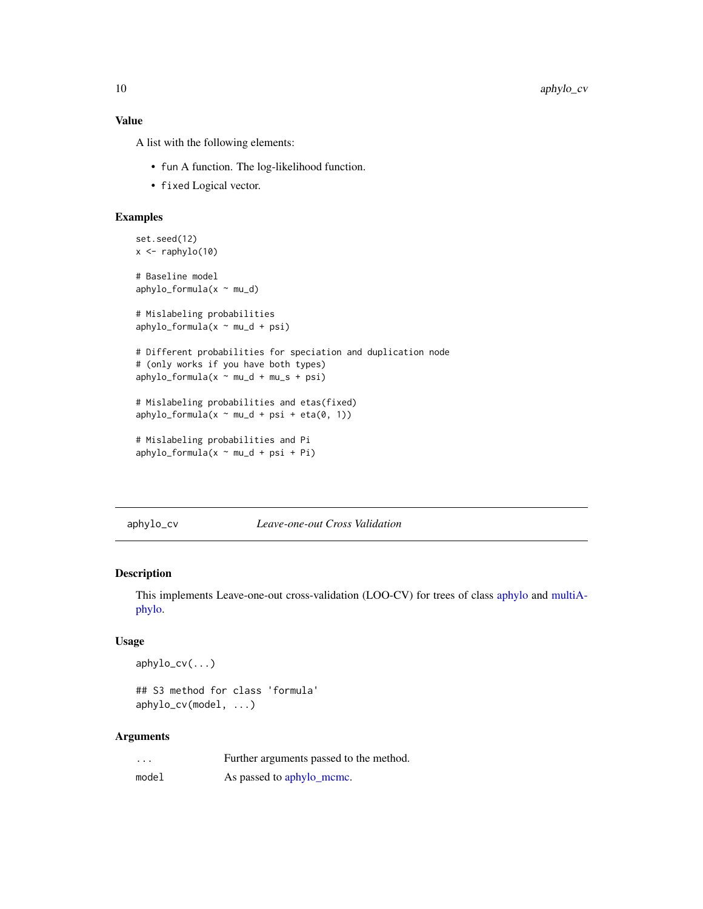# Value

A list with the following elements:

- fun A function. The log-likelihood function.
- fixed Logical vector.

#### Examples

```
set.seed(12)
x \leftarrow \text{raphylo}(10)# Baseline model
aphylo_formula(x ~ mu_d)
# Mislabeling probabilities
aphylo_formula(x ~ mu_d + psi)# Different probabilities for speciation and duplication node
# (only works if you have both types)
aphylo_formula(x ~ mu_d + mu_s + psi)# Mislabeling probabilities and etas(fixed)
aphylo_formula(x ~ mu_d + psi + eta(0, 1))# Mislabeling probabilities and Pi
aphylo_formula(x ~ mu_d + psi + Pi)
```
#### aphylo\_cv *Leave-one-out Cross Validation*

#### Description

This implements Leave-one-out cross-validation (LOO-CV) for trees of class [aphylo](#page-4-1) and [multiA](#page-26-1)[phylo.](#page-26-1)

#### Usage

aphylo\_cv(...)

## S3 method for class 'formula' aphylo\_cv(model, ...)

#### Arguments

| .     | Further arguments passed to the method. |
|-------|-----------------------------------------|
| model | As passed to aphylo_mcmc.               |

<span id="page-9-0"></span>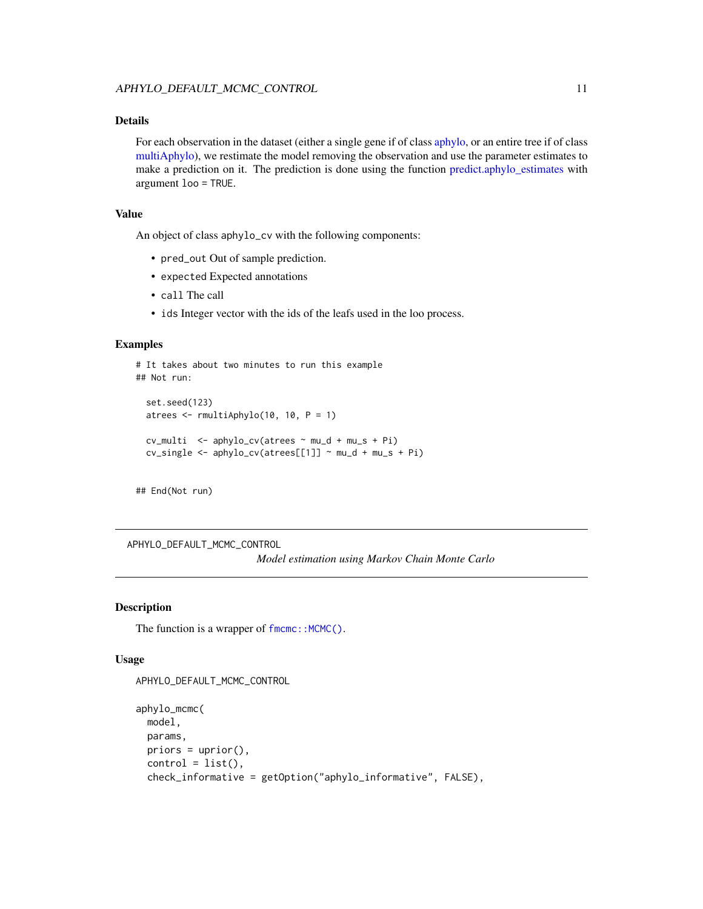### <span id="page-10-0"></span>Details

For each observation in the dataset (either a single gene if of class [aphylo,](#page-4-1) or an entire tree if of class [multiAphylo\)](#page-26-1), we restimate the model removing the observation and use the parameter estimates to make a prediction on it. The prediction is done using the function [predict.aphylo\\_estimates](#page-31-1) with argument loo = TRUE.

### Value

An object of class aphylo\_cv with the following components:

- pred\_out Out of sample prediction.
- expected Expected annotations
- call The call
- ids Integer vector with the ids of the leafs used in the loo process.

#### Examples

```
# It takes about two minutes to run this example
## Not run:
 set.seed(123)
 atrees <- rmultiAphylo(10, 10, P = 1)
 cv_{\text{multi}} <- aphylo_cv(atrees \sim mu_d + mu_s + Pi)
 cv_single <- aphylo_cv(atrees[[1]] ~ mu_d + mu_s + Pi)
```
## End(Not run)

<span id="page-10-2"></span>APHYLO\_DEFAULT\_MCMC\_CONTROL

*Model estimation using Markov Chain Monte Carlo*

#### <span id="page-10-1"></span>Description

The function is a wrapper of [fmcmc::MCMC\(\)](#page-0-0).

### Usage

```
APHYLO_DEFAULT_MCMC_CONTROL
```

```
aphylo_mcmc(
 model,
 params,
 priors = uprior(),
 control = list(),check_informative = getOption("aphylo_informative", FALSE),
```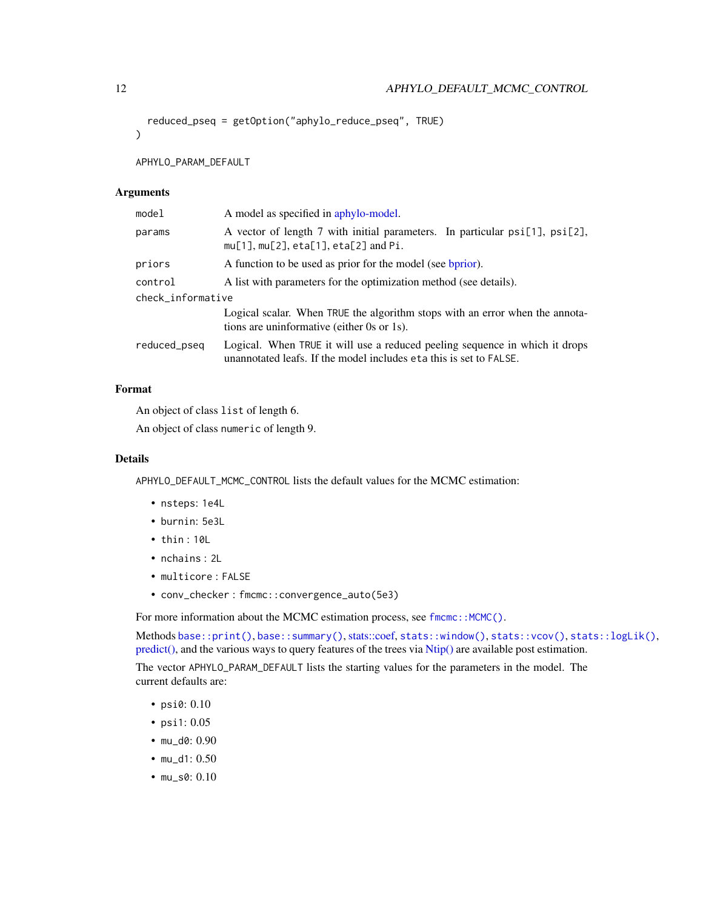```
reduced_pseq = getOption("aphylo_reduce_pseq", TRUE)
```
APHYLO\_PARAM\_DEFAULT

#### Arguments

 $\lambda$ 

| model             | A model as specified in aphylo-model.                                                                                                             |  |
|-------------------|---------------------------------------------------------------------------------------------------------------------------------------------------|--|
| params            | A vector of length 7 with initial parameters. In particular psi[1], psi[2],<br>$mu[1], mu[2], eta[1], eta[2]$ and Pi.                             |  |
| priors            | A function to be used as prior for the model (see bprior).                                                                                        |  |
| control           | A list with parameters for the optimization method (see details).                                                                                 |  |
| check_informative |                                                                                                                                                   |  |
|                   | Logical scalar. When TRUE the algorithm stops with an error when the annota-<br>tions are uninformative (either 0s or 1s).                        |  |
| reduced_pseq      | Logical. When TRUE it will use a reduced peeling sequence in which it drops<br>unannotated leafs. If the model includes eta this is set to FALSE. |  |

# Format

An object of class list of length 6.

An object of class numeric of length 9.

#### Details

APHYLO\_DEFAULT\_MCMC\_CONTROL lists the default values for the MCMC estimation:

- nsteps: 1e4L
- burnin: 5e3L
- thin : 10L
- nchains : 2L
- multicore : FALSE
- conv\_checker : fmcmc::convergence\_auto(5e3)

For more information about the MCMC estimation process, see [fmcmc::MCMC\(\)](#page-0-0).

Methods [base::print\(\)](#page-0-0), [base::summary\(\)](#page-0-0), [stats::coef,](#page-0-0) [stats::window\(\)](#page-0-0), [stats::vcov\(\)](#page-0-0), [stats::logLik\(\)](#page-0-0), [predict\(\),](#page-31-1) and the various ways to query features of the trees via [Ntip\(\)](#page-0-0) are available post estimation.

The vector APHYLO\_PARAM\_DEFAULT lists the starting values for the parameters in the model. The current defaults are:

- psi0: 0.10
- psi1: 0.05
- mu\_d0: 0.90
- mu\_d1: 0.50
- mu\_s0: 0.10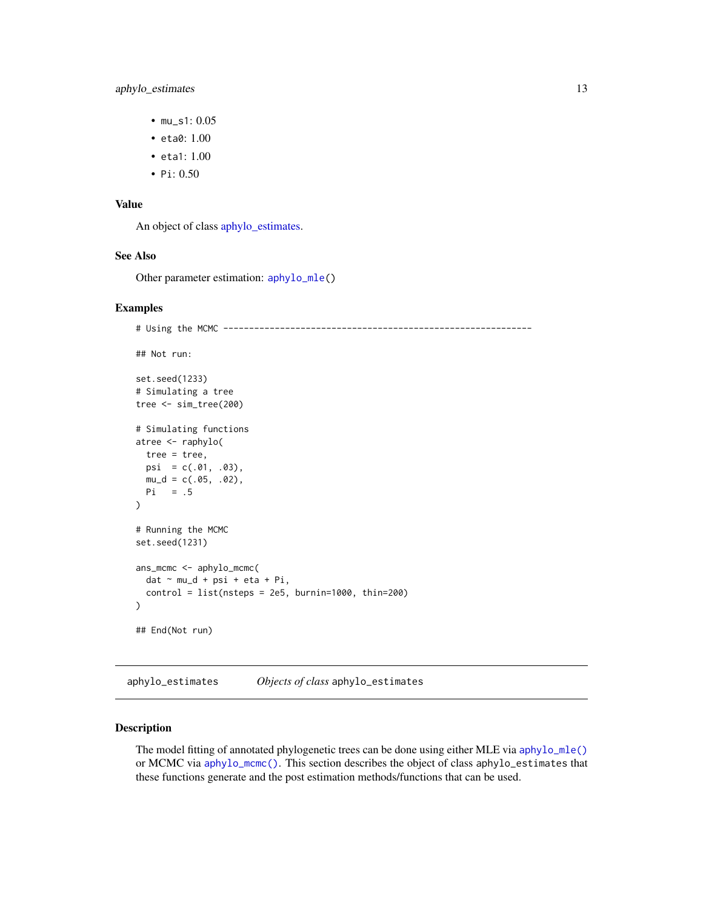- <span id="page-12-0"></span>• mu\_s1: 0.05
- eta0: 1.00
- eta1: 1.00
- Pi: 0.50

### Value

An object of class [aphylo\\_estimates.](#page-12-1)

#### See Also

Other parameter estimation: [aphylo\\_mle\(](#page-15-1))

#### Examples

```
# Using the MCMC ------------------------------------------------------------
## Not run:
set.seed(1233)
# Simulating a tree
tree <- sim_tree(200)
# Simulating functions
atree <- raphylo(
 tree = tree,
 psi = c(.01, .03),
 mu_d = c(.05, .02),
 Pi = .5
)
# Running the MCMC
set.seed(1231)
ans_mcmc <- aphylo_mcmc(
 dat ~ mu_d + psi + eta + Pi,
 control = list(nsteps = 2e5, burnin=1000, thin=200)\mathcal{L}## End(Not run)
```
<span id="page-12-1"></span>aphylo\_estimates *Objects of class* aphylo\_estimates

### Description

The model fitting of annotated phylogenetic trees can be done using either MLE via [aphylo\\_mle\(\)](#page-15-1) or MCMC via [aphylo\\_mcmc\(\)](#page-10-1). This section describes the object of class aphylo\_estimates that these functions generate and the post estimation methods/functions that can be used.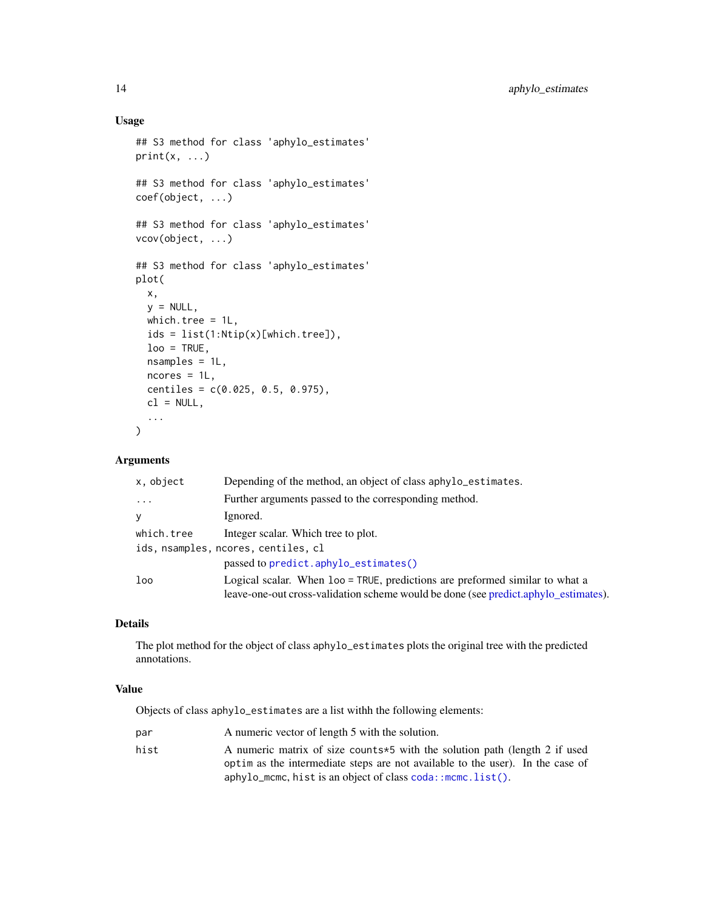# Usage

```
## S3 method for class 'aphylo_estimates'
print(x, \ldots)## S3 method for class 'aphylo_estimates'
coef(object, ...)
## S3 method for class 'aphylo_estimates'
vcov(object, ...)
## S3 method for class 'aphylo_estimates'
plot(
  x,
 y = NULL,which.tree = 1L,
  ids = list(1:Ntip(x)[which.tree]),
 loo = TRUE,nsamples = 1L,
 ncores = 1L,
 centiles = c(0.025, 0.5, 0.975),
 cl = NULL,...
\mathcal{L}
```
# Arguments

| x, object  | Depending of the method, an object of class aphylo_estimates.                                                                                                       |
|------------|---------------------------------------------------------------------------------------------------------------------------------------------------------------------|
| $\cdots$   | Further arguments passed to the corresponding method.                                                                                                               |
| V          | Ignored.                                                                                                                                                            |
| which.tree | Integer scalar. Which tree to plot.                                                                                                                                 |
|            | ids, nsamples, ncores, centiles, cl                                                                                                                                 |
|            | passed to predict.aphylo_estimates()                                                                                                                                |
| loo        | Logical scalar. When loo = TRUE, predictions are preformed similar to what a<br>leave-one-out cross-validation scheme would be done (see predict.aphylo_estimates). |

### Details

The plot method for the object of class aphylo\_estimates plots the original tree with the predicted annotations.

# Value

Objects of class aphylo\_estimates are a list withh the following elements:

| par  | A numeric vector of length 5 with the solution.                                                                                                               |
|------|---------------------------------------------------------------------------------------------------------------------------------------------------------------|
| hist | A numeric matrix of size counts *5 with the solution path (length 2 if used<br>optim as the intermediate steps are not available to the user). In the case of |
|      | $aphylo_m$ cmc, hist is an object of class $coda:$ mcmc. list().                                                                                              |

<span id="page-13-0"></span>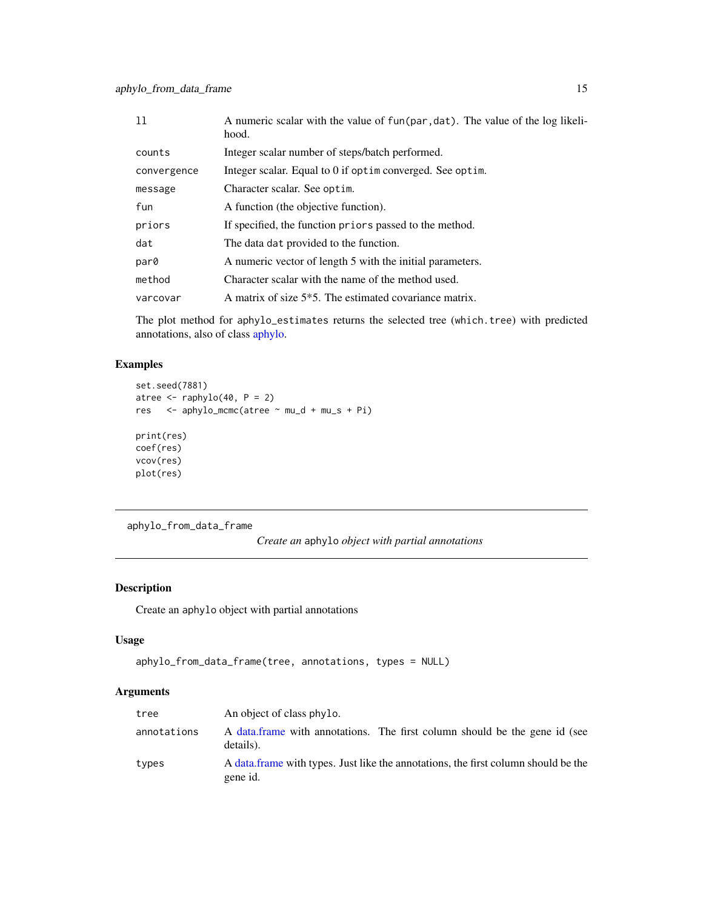<span id="page-14-0"></span>

| 11          | A numeric scalar with the value of fun(par, dat). The value of the log likeli-<br>hood. |
|-------------|-----------------------------------------------------------------------------------------|
| counts      | Integer scalar number of steps/batch performed.                                         |
| convergence | Integer scalar. Equal to 0 if optim converged. See optim.                               |
| message     | Character scalar. See optim.                                                            |
| fun         | A function (the objective function).                                                    |
| priors      | If specified, the function priors passed to the method.                                 |
| dat         | The data dat provided to the function.                                                  |
| par0        | A numeric vector of length 5 with the initial parameters.                               |
| method      | Character scalar with the name of the method used.                                      |
| varcovar    | A matrix of size 5 <sup>*</sup> 5. The estimated covariance matrix.                     |

The plot method for aphylo\_estimates returns the selected tree (which.tree) with predicted annotations, also of class [aphylo.](#page-4-1)

# Examples

```
set.seed(7881)
atree \leftarrow raphylo(40, P = 2)
res <- aphylo_mcmc(atree ~ mu_d + mu_s + Pi)
print(res)
coef(res)
vcov(res)
plot(res)
```

```
aphylo_from_data_frame
```

```
Create an aphylo object with partial annotations
```
# Description

Create an aphylo object with partial annotations

### Usage

```
aphylo_from_data_frame(tree, annotations, types = NULL)
```
# Arguments

| tree        | An object of class phylo.                                                                      |
|-------------|------------------------------------------------------------------------------------------------|
| annotations | A data frame with annotations. The first column should be the gene id (see<br>details).        |
| types       | A data frame with types. Just like the annotations, the first column should be the<br>gene id. |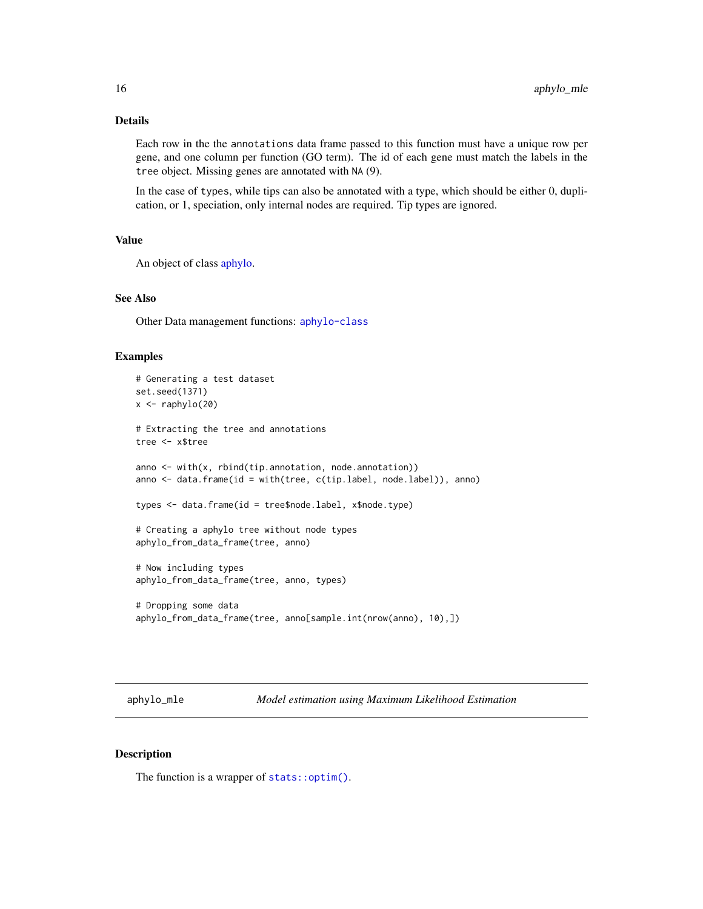### <span id="page-15-0"></span>Details

Each row in the the annotations data frame passed to this function must have a unique row per gene, and one column per function (GO term). The id of each gene must match the labels in the tree object. Missing genes are annotated with NA (9).

In the case of types, while tips can also be annotated with a type, which should be either 0, duplication, or 1, speciation, only internal nodes are required. Tip types are ignored.

# Value

An object of class [aphylo.](#page-4-1)

# See Also

Other Data management functions: [aphylo-class](#page-4-2)

#### Examples

```
# Generating a test dataset
set.seed(1371)
x \leftarrow \text{raphylo}(20)# Extracting the tree and annotations
tree <- x$tree
anno <- with(x, rbind(tip.annotation, node.annotation))
anno <- data.frame(id = with(tree, c(tip.label, node.label)), anno)
types <- data.frame(id = tree$node.label, x$node.type)
# Creating a aphylo tree without node types
aphylo_from_data_frame(tree, anno)
# Now including types
aphylo_from_data_frame(tree, anno, types)
# Dropping some data
aphylo_from_data_frame(tree, anno[sample.int(nrow(anno), 10),])
```
<span id="page-15-1"></span>aphylo\_mle *Model estimation using Maximum Likelihood Estimation*

#### Description

The function is a wrapper of [stats::optim\(\)](#page-0-0).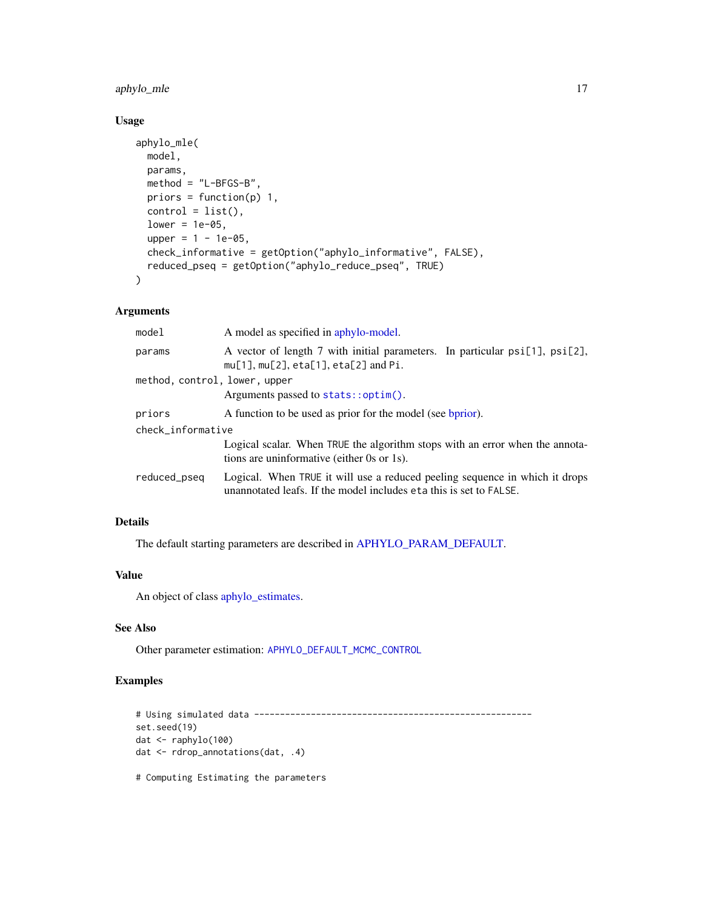<span id="page-16-0"></span>aphylo\_mle 17

# Usage

```
aphylo_mle(
 model,
 params,
 method = "L-BFGS-B",
 priors = function(p) 1,
 control = list(),
 lower = 1e-05,upper = 1 - 1e-05,
 check_informative = getOption("aphylo_informative", FALSE),
  reduced_pseq = getOption("aphylo_reduce_pseq", TRUE)
)
```
# Arguments

| model                         | A model as specified in aphylo-model.                                                                                                             |  |
|-------------------------------|---------------------------------------------------------------------------------------------------------------------------------------------------|--|
| params                        | A vector of length 7 with initial parameters. In particular $psi[1]$ , $psi[2]$ ,<br>$mu[1], mu[2], eta[1], eta[2]$ and Pi.                       |  |
| method, control, lower, upper |                                                                                                                                                   |  |
|                               | Arguments passed to $stats::optim()$ .                                                                                                            |  |
| priors                        | A function to be used as prior for the model (see bprior).                                                                                        |  |
| check_informative             |                                                                                                                                                   |  |
|                               | Logical scalar. When TRUE the algorithm stops with an error when the annota-<br>tions are uninformative (either 0s or 1s).                        |  |
| reduced_pseq                  | Logical. When TRUE it will use a reduced peeling sequence in which it drops<br>unannotated leafs. If the model includes eta this is set to FALSE. |  |

# Details

The default starting parameters are described in [APHYLO\\_PARAM\\_DEFAULT.](#page-10-1)

# Value

An object of class [aphylo\\_estimates.](#page-12-1)

### See Also

Other parameter estimation: [APHYLO\\_DEFAULT\\_MCMC\\_CONTROL](#page-10-2)

# Examples

```
# Using simulated data ------------------------------------------------------
set.seed(19)
dat <- raphylo(100)
dat <- rdrop_annotations(dat, .4)
```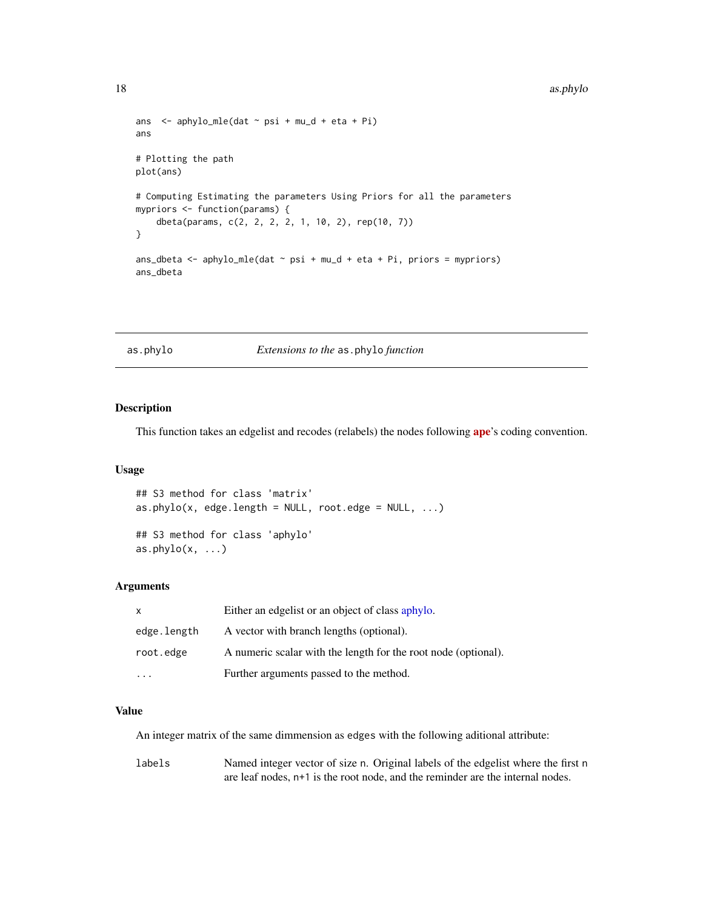```
ans \leq aphylo_mle(dat \sim psi + mu_d + eta + Pi)
ans
# Plotting the path
plot(ans)
# Computing Estimating the parameters Using Priors for all the parameters
mypriors <- function(params) {
    dbeta(params, c(2, 2, 2, 2, 1, 10, 2), rep(10, 7))
}
ans_dbeta <- aphylo_mle(dat ~ psi + mu_d + eta + Pi, priors = mypriors)
ans_dbeta
```
### as.phylo *Extensions to the* as.phylo *function*

#### Description

This function takes an edgelist and recodes (relabels) the nodes following [ape](https://CRAN.R-project.org/package=ape)'s coding convention.

#### Usage

```
## S3 method for class 'matrix'
as.phylo(x, edge.length = NULL, root. edge = NULL, ...)## S3 method for class 'aphylo'
as. phylo(x, \ldots)
```
# Arguments

| X           | Either an edgelist or an object of class aphylo.               |
|-------------|----------------------------------------------------------------|
| edge.length | A vector with branch lengths (optional).                       |
| root.edge   | A numeric scalar with the length for the root node (optional). |
|             | Further arguments passed to the method.                        |

### Value

An integer matrix of the same dimmension as edges with the following aditional attribute:

labels Named integer vector of size n. Original labels of the edgelist where the first n are leaf nodes, n+1 is the root node, and the reminder are the internal nodes.

<span id="page-17-0"></span>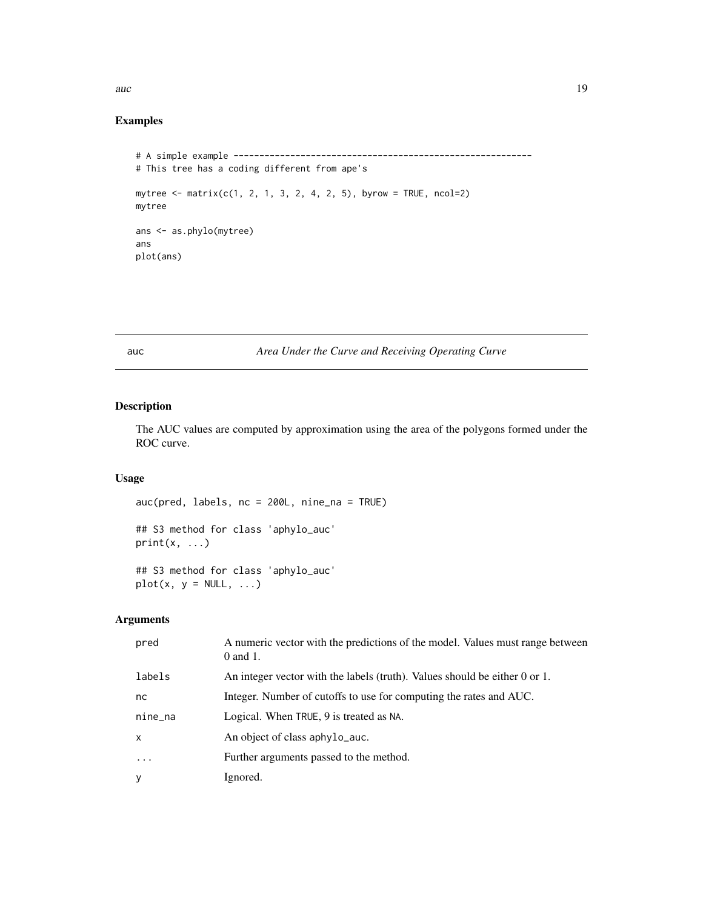# <span id="page-18-0"></span>auch auch and the state of the state of the state of the state of the state of the state of the state of the state of the state of the state of the state of the state of the state of the state of the state of the state of

# Examples

```
# A simple example ----------------------------------------------------------
# This tree has a coding different from ape's
mytree <- matrix(c(1, 2, 1, 3, 2, 4, 2, 5), byrow = TRUE, ncol=2)
mytree
ans <- as.phylo(mytree)
ans
plot(ans)
```
auc *Area Under the Curve and Receiving Operating Curve*

### Description

The AUC values are computed by approximation using the area of the polygons formed under the ROC curve.

# Usage

```
auc(pred, labels, nc = 200L, nine_na = TRUE)
## S3 method for class 'aphylo_auc'
print(x, \ldots)## S3 method for class 'aphylo_auc'
plot(x, y = NULL, ...)
```
# Arguments

| pred         | A numeric vector with the predictions of the model. Values must range between<br>$0$ and $1$ . |
|--------------|------------------------------------------------------------------------------------------------|
| labels       | An integer vector with the labels (truth). Values should be either 0 or 1.                     |
| nc.          | Integer. Number of cutoffs to use for computing the rates and AUC.                             |
| nine_na      | Logical. When TRUE, 9 is treated as NA.                                                        |
| $\mathsf{x}$ | An object of class aphylo_auc.                                                                 |
| $\cdot$      | Further arguments passed to the method.                                                        |
| У            | Ignored.                                                                                       |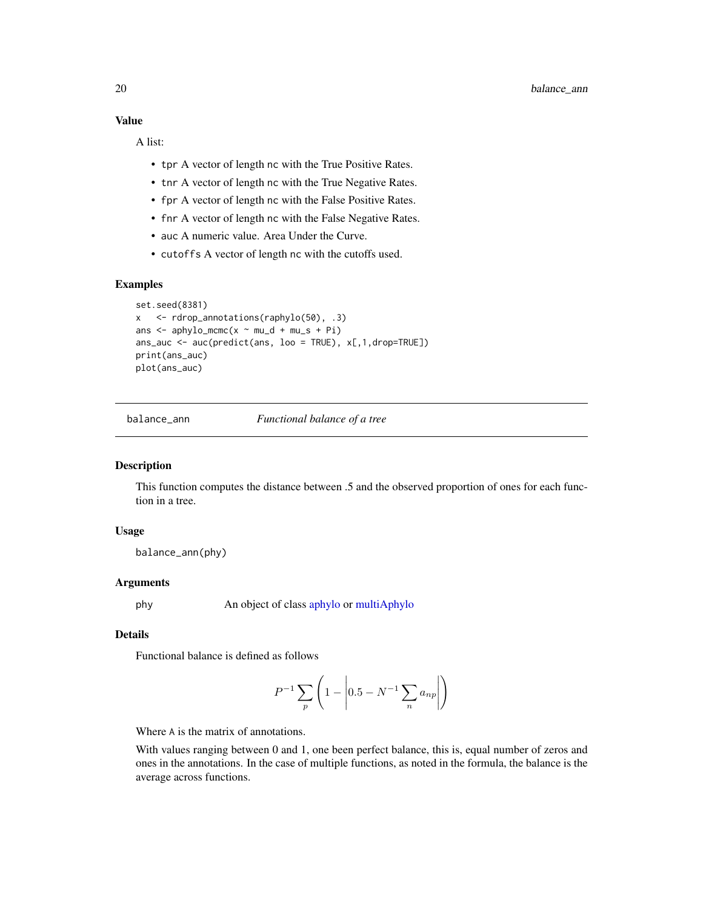### <span id="page-19-0"></span>Value

A list:

- tpr A vector of length nc with the True Positive Rates.
- tnr A vector of length nc with the True Negative Rates.
- fpr A vector of length nc with the False Positive Rates.
- fnr A vector of length nc with the False Negative Rates.
- auc A numeric value. Area Under the Curve.
- cutoffs A vector of length nc with the cutoffs used.

#### Examples

```
set.seed(8381)
x <- rdrop_annotations(raphylo(50), .3)
ans \leq aphylo_mcmc(x \sim mu_d + mu_s + Pi)
ans_auc <- \alphauc(predict(ans, loo = TRUE), x[, 1, drop=TRUE])
print(ans_auc)
plot(ans_auc)
```
balance\_ann *Functional balance of a tree*

#### Description

This function computes the distance between .5 and the observed proportion of ones for each function in a tree.

# Usage

balance\_ann(phy)

#### **Arguments**

phy An object of class [aphylo](#page-4-1) or [multiAphylo](#page-26-1)

# **Details**

Functional balance is defined as follows

$$
P^{-1} \sum_{p} \left( 1 - \left| 0.5 - N^{-1} \sum_{n} a_{np} \right| \right)
$$

Where A is the matrix of annotations.

With values ranging between 0 and 1, one been perfect balance, this is, equal number of zeros and ones in the annotations. In the case of multiple functions, as noted in the formula, the balance is the average across functions.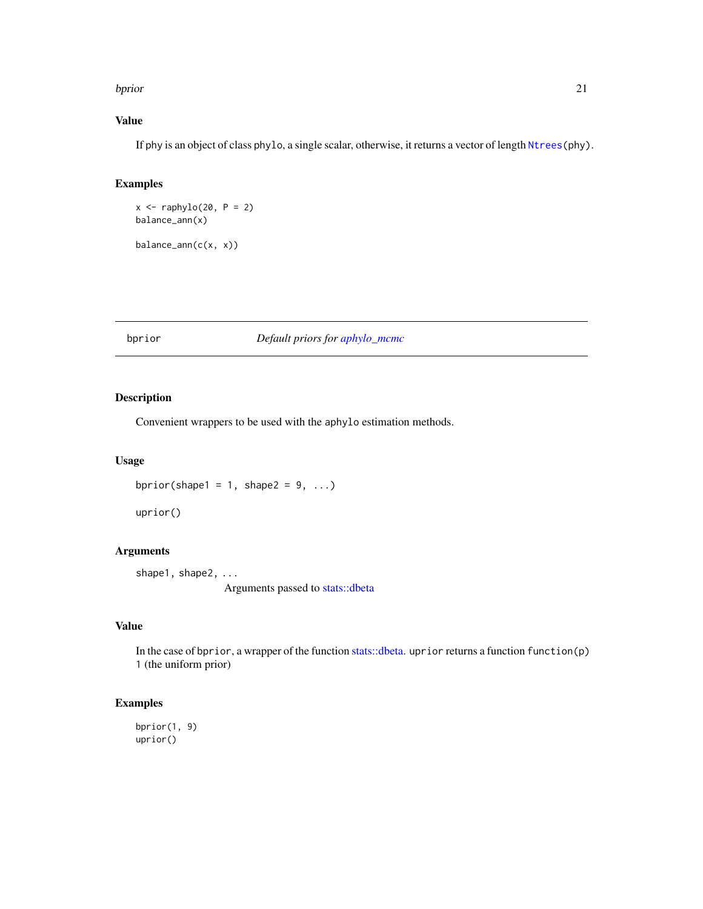#### <span id="page-20-0"></span>bprior that the contract of the contract of the contract of the contract of the contract of the contract of the contract of the contract of the contract of the contract of the contract of the contract of the contract of th

# Value

If phy is an object of class phylo, a single scalar, otherwise, it returns a vector of length [Ntrees\(](#page-6-2)phy).

# Examples

 $x \leftarrow \text{raphylo}(20, P = 2)$ balance\_ann(x)

 $balance\_ann(c(x, x))$ 

# <span id="page-20-1"></span>bprior *Default priors for [aphylo\\_mcmc](#page-10-1)*

# Description

Convenient wrappers to be used with the aphylo estimation methods.

### Usage

```
bprior(shape1 = 1, shape2 = 9, ...)
```
uprior()

# Arguments

shape1, shape2, ... Arguments passed to [stats::dbeta](#page-0-0)

# Value

In the case of bprior, a wrapper of the function [stats::dbeta.](#page-0-0) uprior returns a function function(p) 1 (the uniform prior)

# Examples

bprior(1, 9) uprior()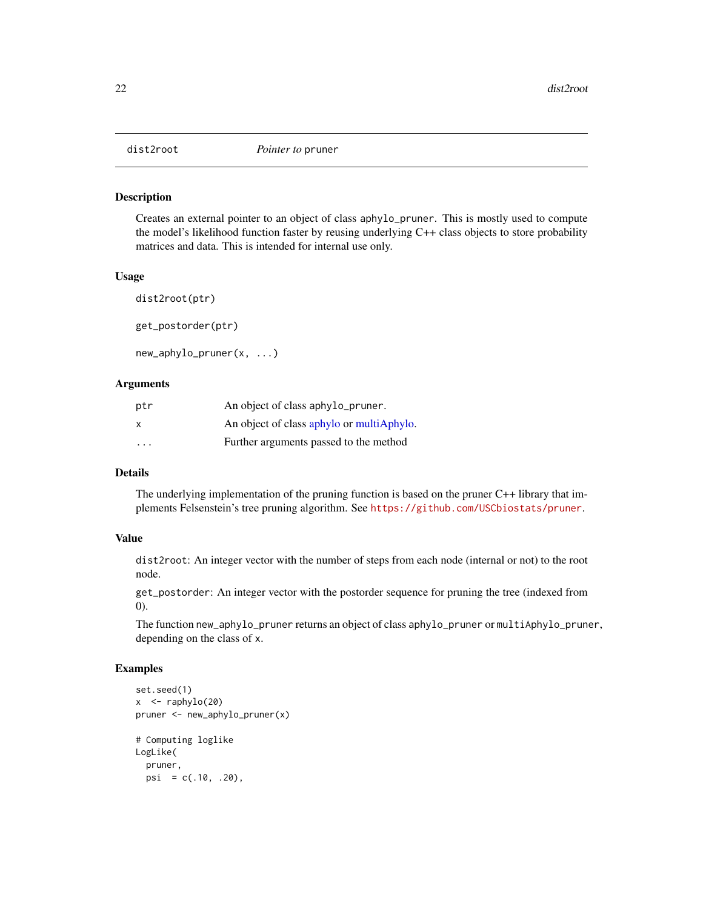<span id="page-21-0"></span>

#### Description

Creates an external pointer to an object of class aphylo\_pruner. This is mostly used to compute the model's likelihood function faster by reusing underlying C++ class objects to store probability matrices and data. This is intended for internal use only.

#### Usage

dist2root(ptr) get\_postorder(ptr) new\_aphylo\_pruner(x, ...)

#### Arguments

| ptr                     | An object of class aphylo_pruner.         |
|-------------------------|-------------------------------------------|
| X                       | An object of class aphylo or multiAphylo. |
| $\cdot$ $\cdot$ $\cdot$ | Further arguments passed to the method    |

### Details

The underlying implementation of the pruning function is based on the pruner C++ library that implements Felsenstein's tree pruning algorithm. See <https://github.com/USCbiostats/pruner>.

### Value

dist2root: An integer vector with the number of steps from each node (internal or not) to the root node.

get\_postorder: An integer vector with the postorder sequence for pruning the tree (indexed from 0).

The function new\_aphylo\_pruner returns an object of class aphylo\_pruner or multiAphylo\_pruner, depending on the class of x.

#### Examples

```
set.seed(1)
x < - raphylo(20)
pruner <- new_aphylo_pruner(x)
# Computing loglike
LogLike(
  pruner,
  psi = c(.10, .20),
```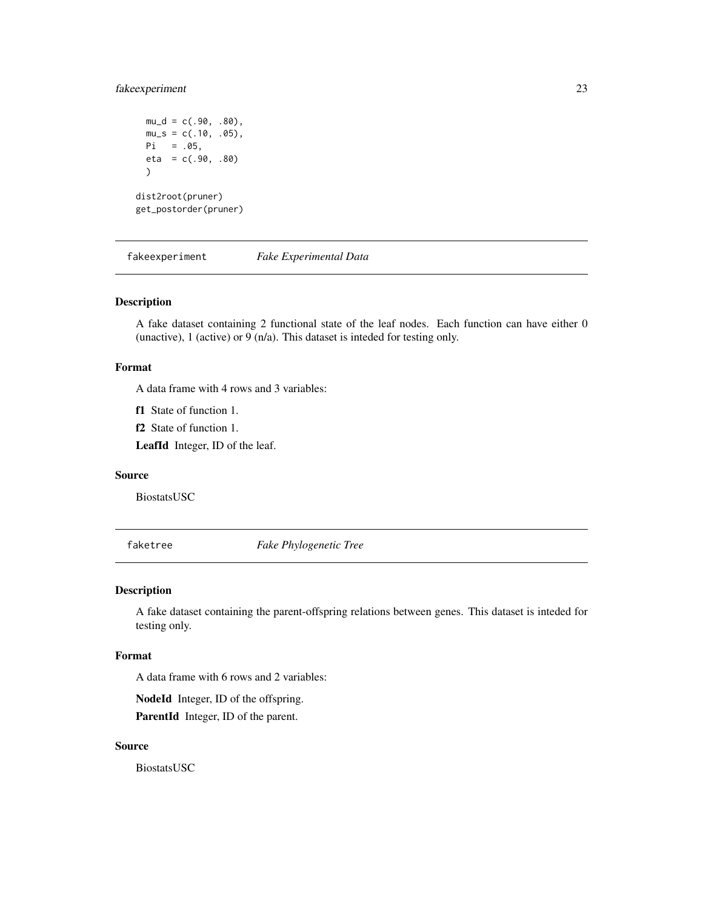# <span id="page-22-0"></span>fakeexperiment 23

```
mu_d = c(.90, .80),mu_s = c(.10, .05),Pi = .05,
 eta = c(.90, .80))
dist2root(pruner)
get_postorder(pruner)
```
fakeexperiment *Fake Experimental Data*

### Description

A fake dataset containing 2 functional state of the leaf nodes. Each function can have either 0 (unactive), 1 (active) or 9 (n/a). This dataset is inteded for testing only.

# Format

A data frame with 4 rows and 3 variables:

f1 State of function 1.

f2 State of function 1.

LeafId Integer, ID of the leaf.

#### Source

BiostatsUSC

faketree *Fake Phylogenetic Tree*

#### Description

A fake dataset containing the parent-offspring relations between genes. This dataset is inteded for testing only.

#### Format

A data frame with 6 rows and 2 variables:

NodeId Integer, ID of the offspring.

ParentId Integer, ID of the parent.

# Source

BiostatsUSC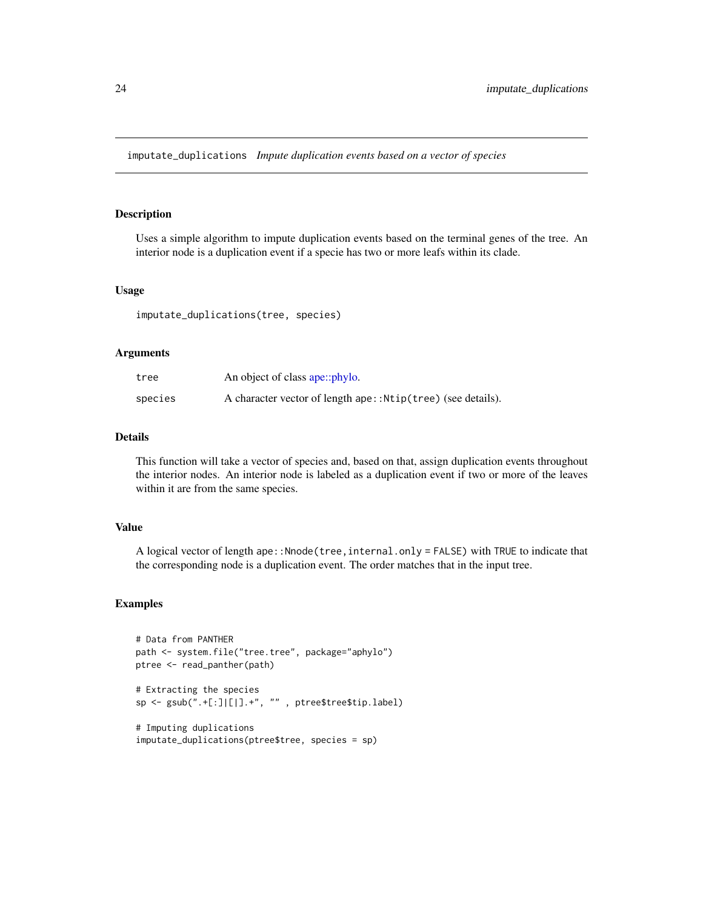<span id="page-23-0"></span>imputate\_duplications *Impute duplication events based on a vector of species*

# Description

Uses a simple algorithm to impute duplication events based on the terminal genes of the tree. An interior node is a duplication event if a specie has two or more leafs within its clade.

#### Usage

imputate\_duplications(tree, species)

#### Arguments

| tree    | An object of class ape::phylo.                               |
|---------|--------------------------------------------------------------|
| species | A character vector of length ape:: Ntip(tree) (see details). |

### Details

This function will take a vector of species and, based on that, assign duplication events throughout the interior nodes. An interior node is labeled as a duplication event if two or more of the leaves within it are from the same species.

#### Value

A logical vector of length ape::Nnode(tree,internal.only = FALSE) with TRUE to indicate that the corresponding node is a duplication event. The order matches that in the input tree.

#### Examples

```
# Data from PANTHER
path <- system.file("tree.tree", package="aphylo")
ptree <- read_panther(path)
# Extracting the species
sp <- gsub(".+[:]|[|].+", "" , ptree$tree$tip.label)
# Imputing duplications
imputate_duplications(ptree$tree, species = sp)
```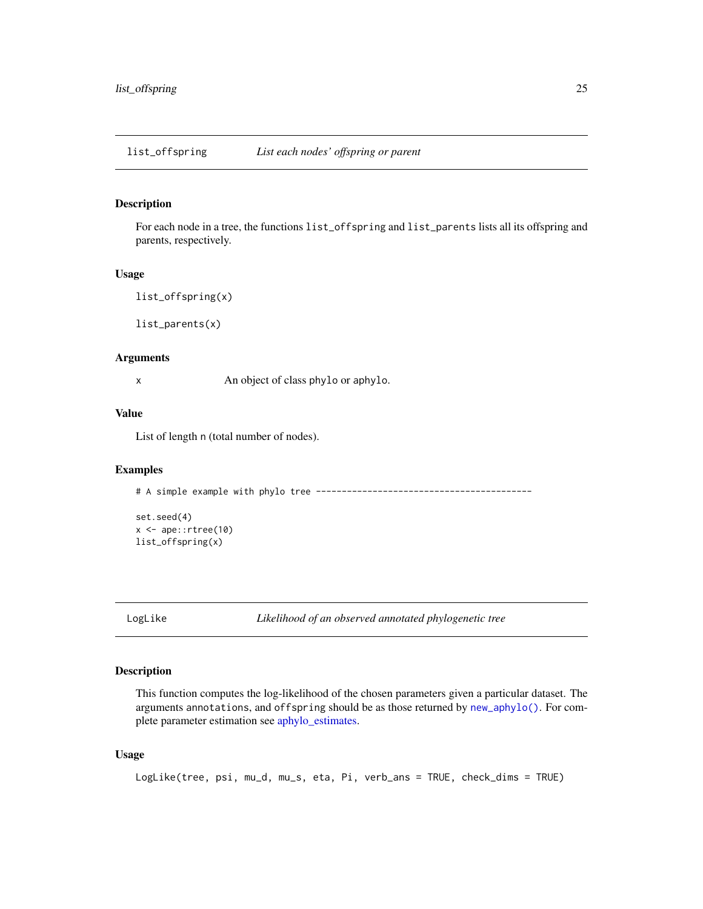<span id="page-24-0"></span>list\_offspring *List each nodes' offspring or parent*

### Description

For each node in a tree, the functions list\_offspring and list\_parents lists all its offspring and parents, respectively.

#### Usage

```
list_offspring(x)
```
list\_parents(x)

### Arguments

x An object of class phylo or aphylo.

# Value

List of length n (total number of nodes).

#### Examples

# A simple example with phylo tree ------------------------------------------

```
set.seed(4)
x \leftarrow ape:: rtree(10)
list_offspring(x)
```
<span id="page-24-1"></span>LogLike *Likelihood of an observed annotated phylogenetic tree*

### Description

This function computes the log-likelihood of the chosen parameters given a particular dataset. The arguments annotations, and offspring should be as those returned by [new\\_aphylo\(\)](#page-4-1). For complete parameter estimation see [aphylo\\_estimates.](#page-12-1)

### Usage

```
LogLike(tree, psi, mu_d, mu_s, eta, Pi, verb_ans = TRUE, check_dims = TRUE)
```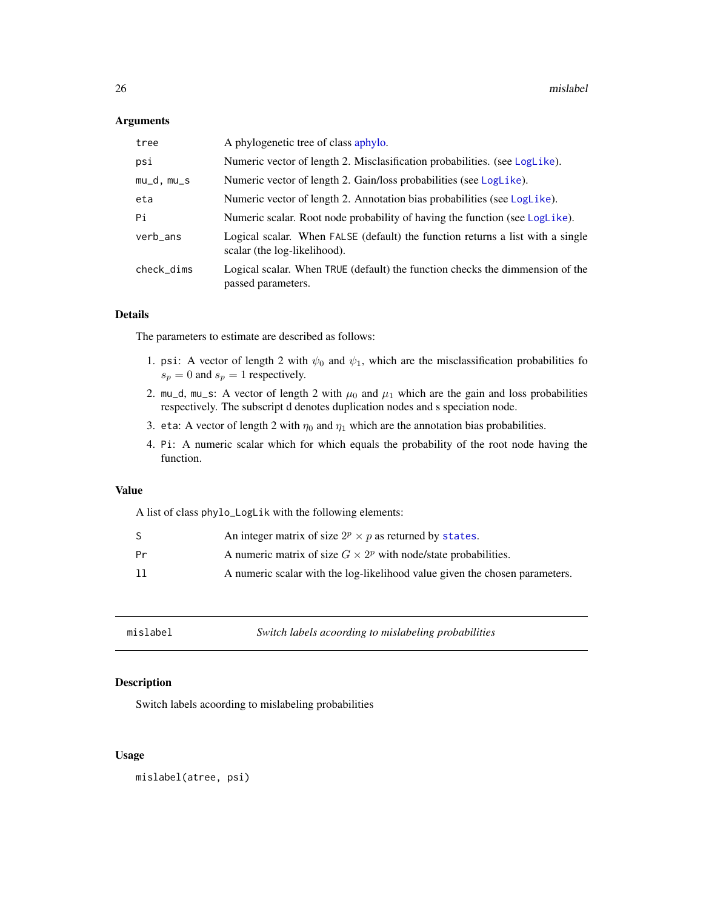#### <span id="page-25-0"></span>Arguments

| tree       | A phylogenetic tree of class aphylo.                                                                           |
|------------|----------------------------------------------------------------------------------------------------------------|
| psi        | Numeric vector of length 2. Misclasification probabilities. (see LogLike).                                     |
| mu_d, mu_s | Numeric vector of length 2. Gain/loss probabilities (see LogLike).                                             |
| eta        | Numeric vector of length 2. Annotation bias probabilities (see LogLike).                                       |
| Pi         | Numeric scalar. Root node probability of having the function (see LogLike).                                    |
| verb_ans   | Logical scalar. When FALSE (default) the function returns a list with a single<br>scalar (the log-likelihood). |
| check_dims | Logical scalar. When TRUE (default) the function checks the dimmension of the<br>passed parameters.            |

#### Details

The parameters to estimate are described as follows:

- 1. psi: A vector of length 2 with  $\psi_0$  and  $\psi_1$ , which are the misclassification probabilities fo  $s_p = 0$  and  $s_p = 1$  respectively.
- 2. mu\_d, mu\_s: A vector of length 2 with  $\mu_0$  and  $\mu_1$  which are the gain and loss probabilities respectively. The subscript d denotes duplication nodes and s speciation node.
- 3. eta: A vector of length 2 with  $\eta_0$  and  $\eta_1$  which are the annotation bias probabilities.
- 4. Pi: A numeric scalar which for which equals the probability of the root node having the function.

#### Value

A list of class phylo\_LogLik with the following elements:

|    | An integer matrix of size $2^p \times p$ as returned by states.             |
|----|-----------------------------------------------------------------------------|
| Pr | A numeric matrix of size $G \times 2^p$ with node/state probabilities.      |
| 11 | A numeric scalar with the log-likelihood value given the chosen parameters. |

| mislabel<br>Switch labels acoording to mislabeling probabilities |  |
|------------------------------------------------------------------|--|
|------------------------------------------------------------------|--|

# Description

Switch labels acoording to mislabeling probabilities

### Usage

mislabel(atree, psi)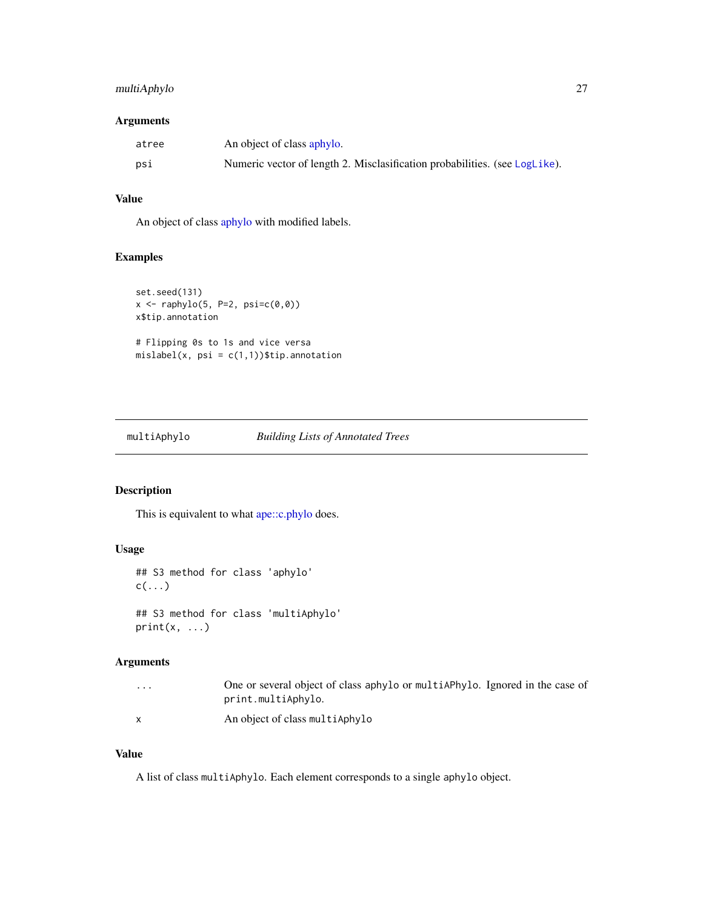# <span id="page-26-0"></span>multiAphylo 27

#### Arguments

| atree | An object of class aphylo.                                                 |
|-------|----------------------------------------------------------------------------|
| psi   | Numeric vector of length 2. Misclasification probabilities. (see LogLike). |

# Value

An object of class [aphylo](#page-4-1) with modified labels.

#### Examples

```
set.seed(131)
x \leftarrow \text{raphylo}(5, P=2, \text{psi}=(\emptyset, \emptyset))x$tip.annotation
# Flipping 0s to 1s and vice versa
mislabel(x, psi = c(1,1))$tip.annotation
```
# <span id="page-26-1"></span>multiAphylo *Building Lists of Annotated Trees*

# Description

This is equivalent to what [ape::c.phylo](#page-0-0) does.

# Usage

```
## S3 method for class 'aphylo'
c(\ldots)## S3 method for class 'multiAphylo'
print(x, \ldots)
```
# Arguments

| $\cdots$ | One or several object of class aphylo or multiAPhylo. Ignored in the case of<br>print.multiAphylo. |
|----------|----------------------------------------------------------------------------------------------------|
|          | An object of class multiAphylo                                                                     |

### Value

A list of class multiAphylo. Each element corresponds to a single aphylo object.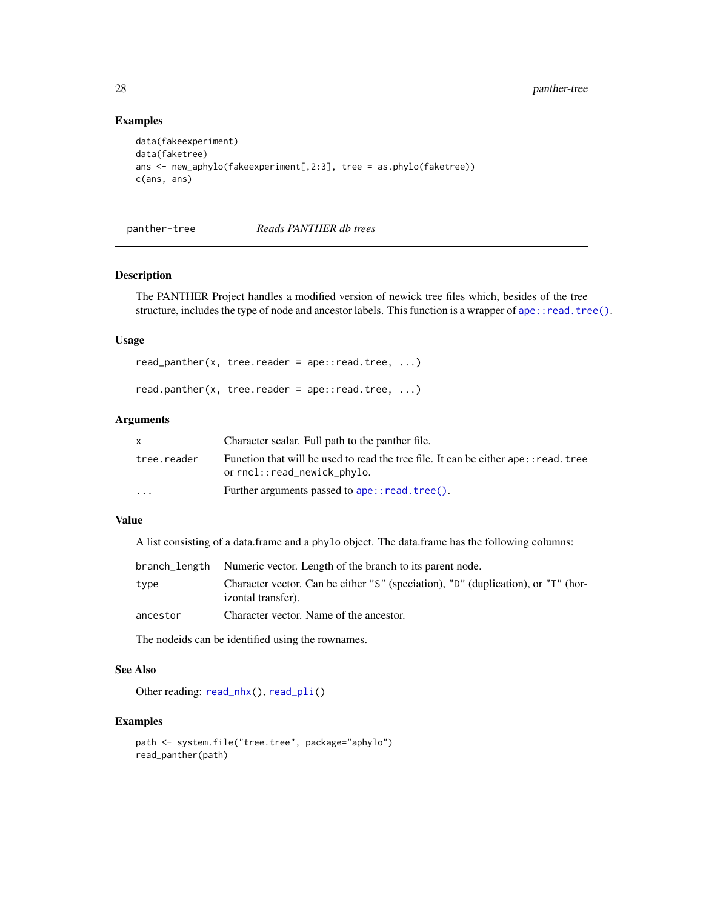# Examples

```
data(fakeexperiment)
data(faketree)
ans <- new_aphylo(fakeexperiment[,2:3], tree = as.phylo(faketree))
c(ans, ans)
```
<span id="page-27-1"></span>panther-tree *Reads PANTHER db trees*

#### Description

The PANTHER Project handles a modified version of newick tree files which, besides of the tree structure, includes the type of node and ancestor labels. This function is a wrapper of [ape::read.tree\(\)](#page-0-0).

#### Usage

 $read\_panther(x, tree.reader = ape::read-tree, ...)$ 

read.panther(x, tree.reader =  $ape::read-tree, ...$ )

#### Arguments

| X           | Character scalar. Full path to the panther file.                                                                    |
|-------------|---------------------------------------------------------------------------------------------------------------------|
| tree.reader | Function that will be used to read the tree file. It can be either ape: : read. tree<br>or rncl::read_newick_phylo. |
| $\cdots$    | Further arguments passed to ape:: read. tree().                                                                     |

#### Value

A list consisting of a data.frame and a phylo object. The data.frame has the following columns:

|          | branch_length Numeric vector. Length of the branch to its parent node.                                  |
|----------|---------------------------------------------------------------------------------------------------------|
| type     | Character vector. Can be either "S" (speciation), "D" (duplication), or "T" (hor-<br>izontal transfer). |
| ancestor | Character vector. Name of the ancestor.                                                                 |

The nodeids can be identified using the rownames.

# See Also

Other reading: [read\\_nhx\(](#page-38-1)), [read\\_pli\(](#page-39-1))

### Examples

```
path <- system.file("tree.tree", package="aphylo")
read_panther(path)
```
<span id="page-27-0"></span>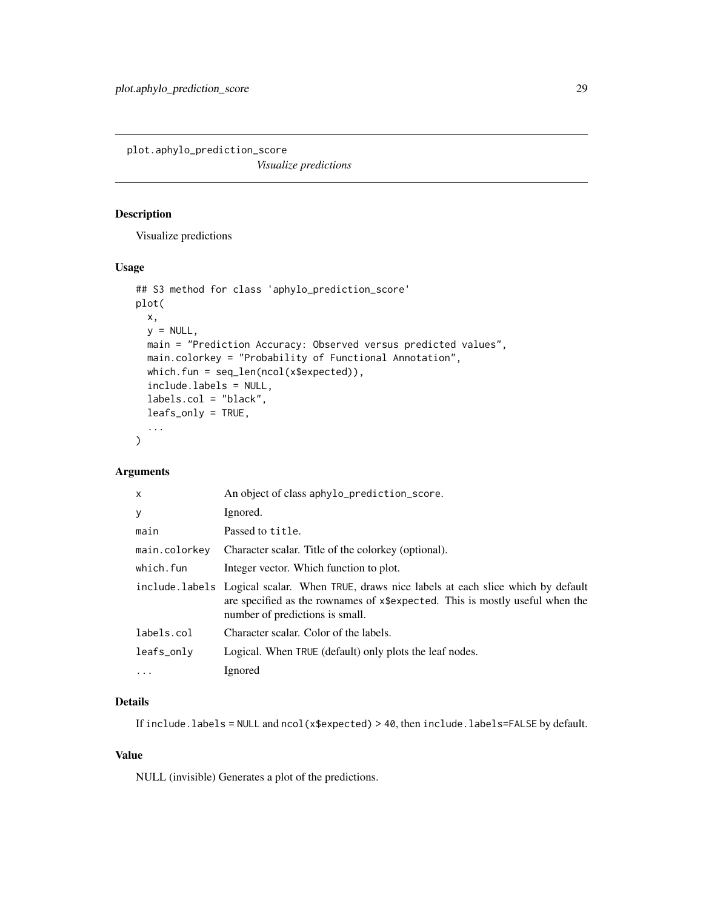<span id="page-28-0"></span>plot.aphylo\_prediction\_score

*Visualize predictions*

# Description

Visualize predictions

### Usage

```
## S3 method for class 'aphylo_prediction_score'
plot(
  x,
 y = NULL,
 main = "Prediction Accuracy: Observed versus predicted values",
 main.colorkey = "Probability of Functional Annotation",
 which.fun = seq_len(ncol(x$expected)),
  include.labels = NULL,
  labels.col = "black",
 leafs_only = TRUE,
  ...
\mathcal{L}
```
### Arguments

| $\mathsf{x}$  | An object of class aphylo_prediction_score.                                                                                                                                                                   |
|---------------|---------------------------------------------------------------------------------------------------------------------------------------------------------------------------------------------------------------|
| У             | Ignored.                                                                                                                                                                                                      |
| main          | Passed to title.                                                                                                                                                                                              |
| main.colorkey | Character scalar. Title of the colorkey (optional).                                                                                                                                                           |
| which.fun     | Integer vector. Which function to plot.                                                                                                                                                                       |
|               | include labels Logical scalar. When TRUE, draws nice labels at each slice which by default<br>are specified as the rownames of x\$expected. This is mostly useful when the<br>number of predictions is small. |
| labels.col    | Character scalar. Color of the labels.                                                                                                                                                                        |
| leafs_only    | Logical. When TRUE (default) only plots the leaf nodes.                                                                                                                                                       |
| $\ddotsc$     | Ignored                                                                                                                                                                                                       |
|               |                                                                                                                                                                                                               |

# Details

If include.labels = NULL and ncol(x\$expected) > 40, then include.labels=FALSE by default.

### Value

NULL (invisible) Generates a plot of the predictions.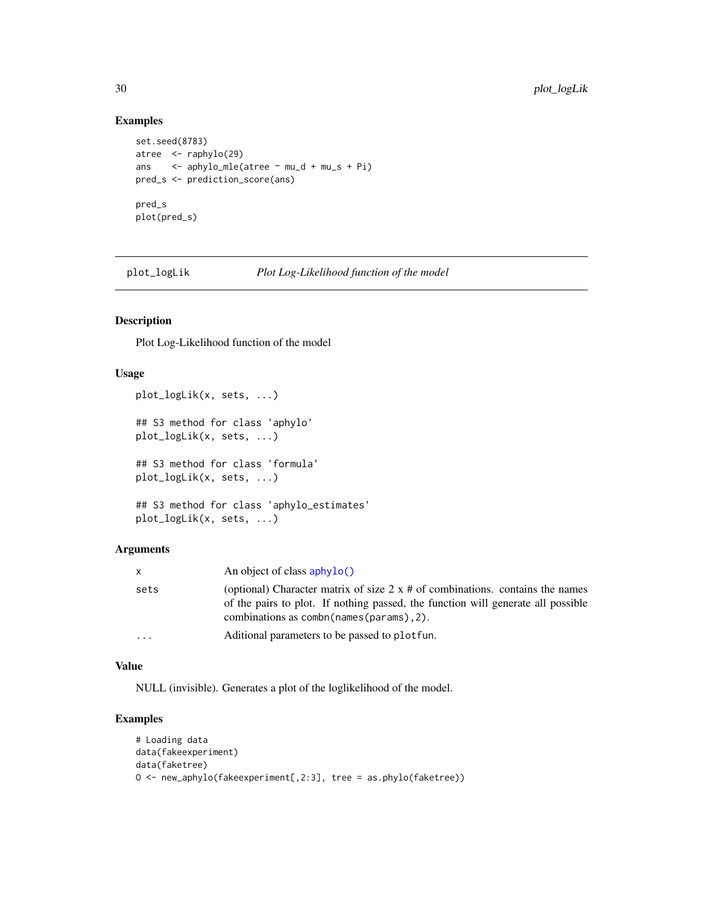# Examples

```
set.seed(8783)
atree <- raphylo(29)
ans <- aphylo_mle(atree ~ mu_d + mu_s + Pi)
pred_s <- prediction_score(ans)
pred_s
plot(pred_s)
```
plot\_logLik *Plot Log-Likelihood function of the model*

### Description

Plot Log-Likelihood function of the model

# Usage

```
plot_logLik(x, sets, ...)
## S3 method for class 'aphylo'
plot_logLik(x, sets, ...)
## S3 method for class 'formula'
plot_logLik(x, sets, ...)
## S3 method for class 'aphylo_estimates'
plot_logLik(x, sets, ...)
```
### Arguments

| X       | An object of class $\alpha$ <sub>l</sub> $\alpha$ <sup>()</sup>                                                                                                                                                         |
|---------|-------------------------------------------------------------------------------------------------------------------------------------------------------------------------------------------------------------------------|
| sets    | (optional) Character matrix of size $2 \times \#$ of combinations. contains the names<br>of the pairs to plot. If nothing passed, the function will generate all possible<br>combinations as combo (names (params), 2). |
| $\cdot$ | Aditional parameters to be passed to plot fun.                                                                                                                                                                          |

#### Value

NULL (invisible). Generates a plot of the loglikelihood of the model.

# Examples

```
# Loading data
data(fakeexperiment)
data(faketree)
O <- new_aphylo(fakeexperiment[,2:3], tree = as.phylo(faketree))
```
<span id="page-29-0"></span>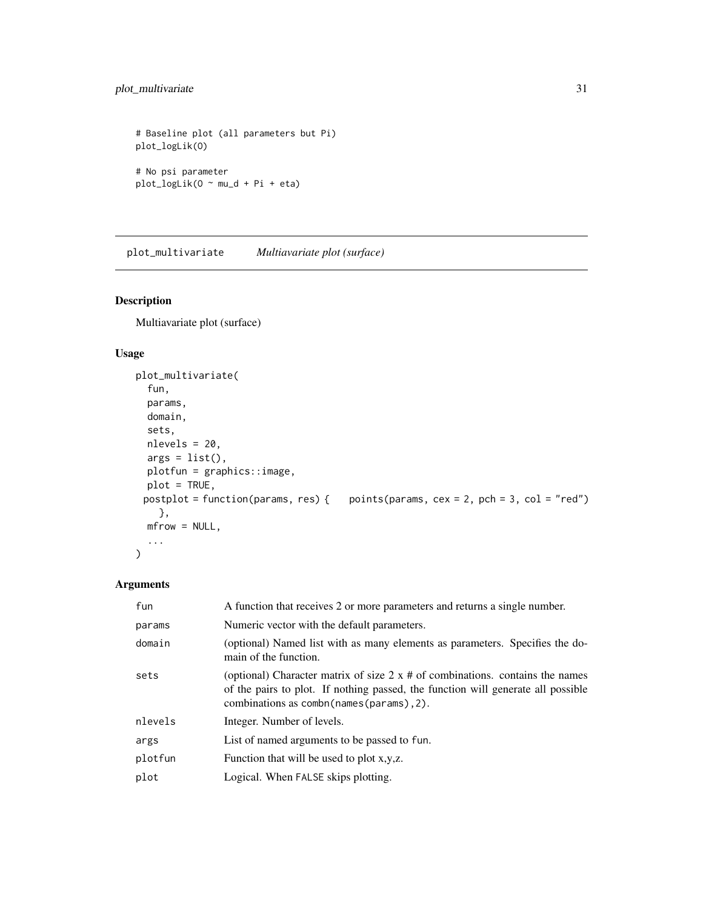# <span id="page-30-0"></span>plot\_multivariate 31

```
# Baseline plot (all parameters but Pi)
plot_logLik(O)
# No psi parameter
plot_logLik(O ~ mu_d + Pi + eta)
```
plot\_multivariate *Multiavariate plot (surface)*

# Description

Multiavariate plot (surface)

# Usage

```
plot_multivariate(
  fun,
 params,
 domain,
  sets,
 nlevels = 20,
 args = list(),plotfun = graphics::image,
 plot = TRUE,
 postplot = function(params, res) { points(params, cex = 2, pch = 3, col = "red")}},
 mfrow = NULL,
  ...
\mathcal{L}
```
# Arguments

| fun     | A function that receives 2 or more parameters and returns a single number.                                                                                                                                           |
|---------|----------------------------------------------------------------------------------------------------------------------------------------------------------------------------------------------------------------------|
| params  | Numeric vector with the default parameters.                                                                                                                                                                          |
| domain  | (optional) Named list with as many elements as parameters. Specifies the do-<br>main of the function.                                                                                                                |
| sets    | (optional) Character matrix of size $2 \times #$ of combinations. contains the names<br>of the pairs to plot. If nothing passed, the function will generate all possible<br>combinations as combn(names(params), 2). |
| nlevels | Integer. Number of levels.                                                                                                                                                                                           |
| args    | List of named arguments to be passed to fun.                                                                                                                                                                         |
| plotfun | Function that will be used to plot x,y,z.                                                                                                                                                                            |
| plot    | Logical. When FALSE skips plotting.                                                                                                                                                                                  |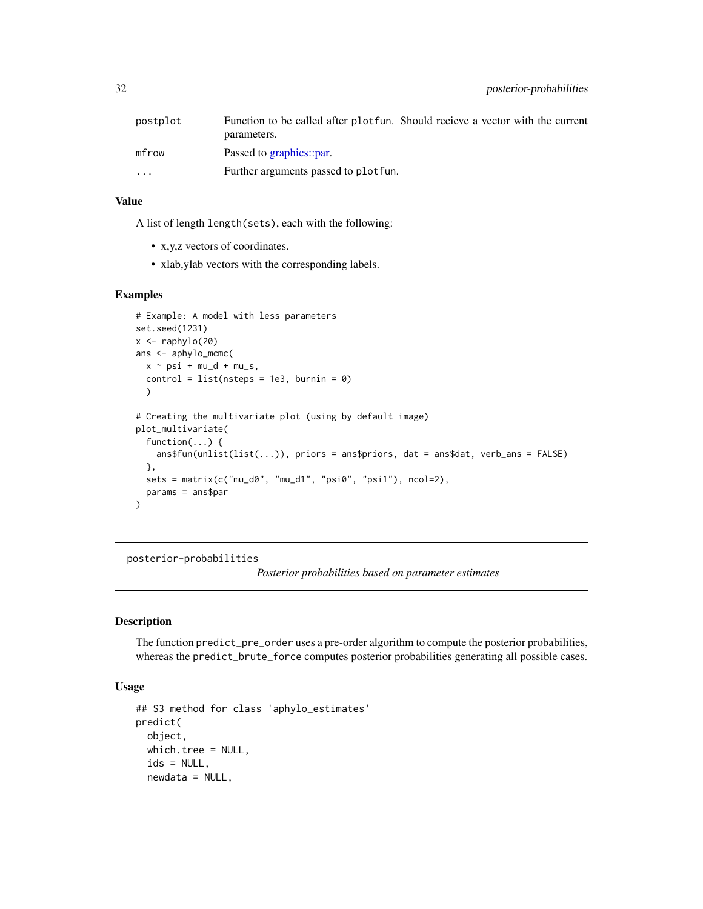<span id="page-31-0"></span>

| postplot | Function to be called after plotfun. Should recieve a vector with the current |
|----------|-------------------------------------------------------------------------------|
|          | parameters.                                                                   |
| mfrow    | Passed to graphics::par.                                                      |
| $\cdots$ | Further arguments passed to plot fun.                                         |

### Value

A list of length length(sets), each with the following:

- x,y,z vectors of coordinates.
- xlab,ylab vectors with the corresponding labels.

#### Examples

```
# Example: A model with less parameters
set.seed(1231)
x \leftarrow \text{raphylo}(20)ans <- aphylo_mcmc(
  x \sim \text{psi} + \text{mu}_d + \text{mu}_s,
  control = list(nsteps = 1e3, burnin = 0)\lambda# Creating the multivariate plot (using by default image)
plot_multivariate(
  function(...) {
    ans$fun(unlist(list(...)), priors = ans$priors, dat = ans$dat, verb_ans = FALSE)
  },
  sets = matrix(c("mu_d0", "mu_d1", "psi0", "psi1"), ncol=2),
  params = ans$par
\mathcal{L}
```
posterior-probabilities

*Posterior probabilities based on parameter estimates*

#### <span id="page-31-1"></span>Description

The function predict\_pre\_order uses a pre-order algorithm to compute the posterior probabilities, whereas the predict\_brute\_force computes posterior probabilities generating all possible cases.

### Usage

```
## S3 method for class 'aphylo_estimates'
predict(
 object,
 which.tree = NULL,
  ids = NULL,newdata = NULL,
```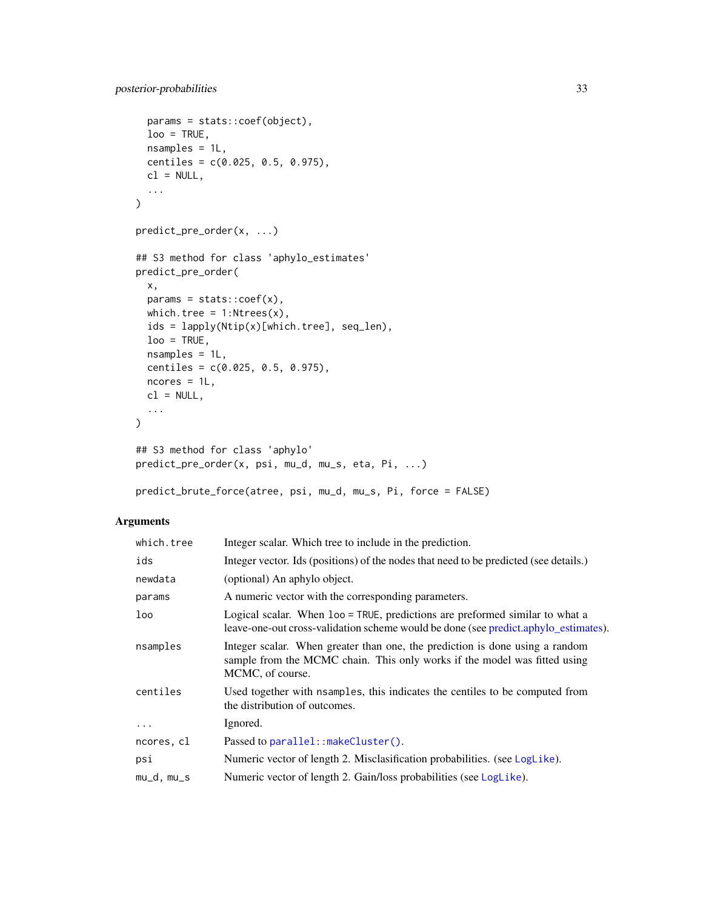```
params = stats::coef(object),
  loo = TRUE,nsamples = 1L,
 centiles = c(0.025, 0.5, 0.975),
 cl = NULL,...
\mathcal{L}predict_pre_order(x, ...)
## S3 method for class 'aphylo_estimates'
predict_pre_order(
 x,
 params = stats::coef(x),
 which.tree = 1:Ntrees(x),
 ids = lapply(Ntip(x)[which.tree], seq_len),
 loo = TRUE,nsamples = 1L,
 centiles = c(0.025, 0.5, 0.975),
 ncores = 1L,
 cl = NULL,...
\mathcal{L}## S3 method for class 'aphylo'
predict_pre_order(x, psi, mu_d, mu_s, eta, Pi, ...)
```

```
predict_brute_force(atree, psi, mu_d, mu_s, Pi, force = FALSE)
```
# Arguments

| which.tree   | Integer scalar. Which tree to include in the prediction.                                                                                                                      |
|--------------|-------------------------------------------------------------------------------------------------------------------------------------------------------------------------------|
| ids          | Integer vector. Ids (positions) of the nodes that need to be predicted (see details.)                                                                                         |
| newdata      | (optional) An aphylo object.                                                                                                                                                  |
| params       | A numeric vector with the corresponding parameters.                                                                                                                           |
| loo          | Logical scalar. When loo = TRUE, predictions are preformed similar to what a<br>leave-one-out cross-validation scheme would be done (see predict.aphylo_estimates).           |
| nsamples     | Integer scalar. When greater than one, the prediction is done using a random<br>sample from the MCMC chain. This only works if the model was fitted using<br>MCMC, of course. |
| centiles     | Used together with nsamples, this indicates the centiles to be computed from<br>the distribution of outcomes.                                                                 |
| $\cdots$     | Ignored.                                                                                                                                                                      |
| ncores, cl   | Passed to parallel::makeCluster().                                                                                                                                            |
| psi          | Numeric vector of length 2. Misclasification probabilities. (see LogLike).                                                                                                    |
| $mu_d, mu_s$ | Numeric vector of length 2. Gain/loss probabilities (see LogLike).                                                                                                            |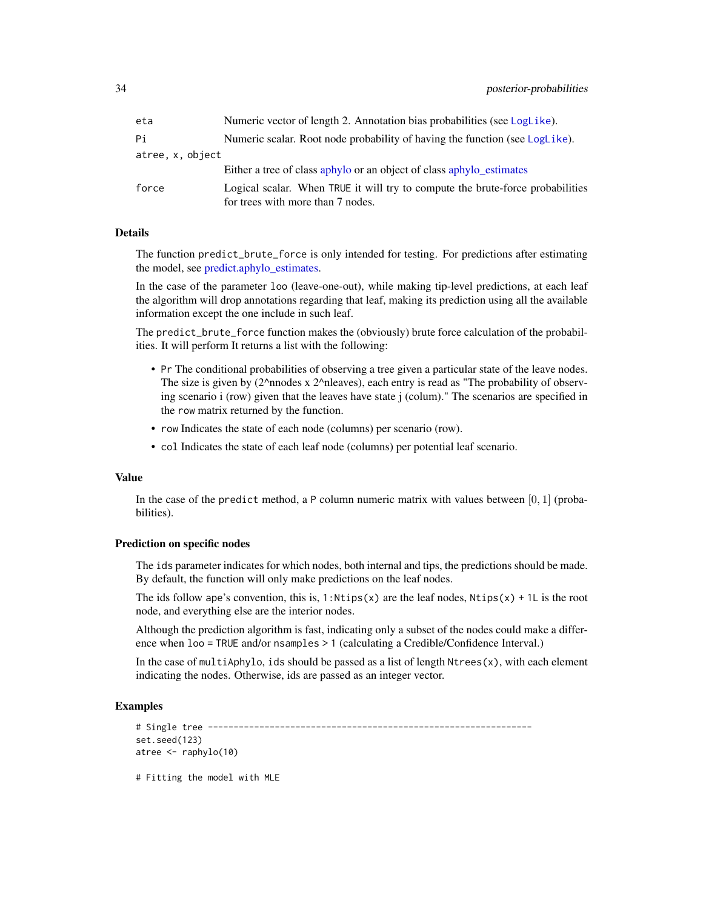<span id="page-33-0"></span>

| eta            | Numeric vector of length 2. Annotation bias probabilities (see LogLike).                                            |
|----------------|---------------------------------------------------------------------------------------------------------------------|
| Рi             | Numeric scalar. Root node probability of having the function (see LogLike).                                         |
| atree.x.object |                                                                                                                     |
|                | Either a tree of class aphylo or an object of class aphylo estimates                                                |
| force          | Logical scalar. When TRUE it will try to compute the brute-force probabilities<br>for trees with more than 7 nodes. |

#### Details

The function predict\_brute\_force is only intended for testing. For predictions after estimating the model, see [predict.aphylo\\_estimates.](#page-31-1)

In the case of the parameter loo (leave-one-out), while making tip-level predictions, at each leaf the algorithm will drop annotations regarding that leaf, making its prediction using all the available information except the one include in such leaf.

The predict\_brute\_force function makes the (obviously) brute force calculation of the probabilities. It will perform It returns a list with the following:

- Pr The conditional probabilities of observing a tree given a particular state of the leave nodes. The size is given by  $(2^{\wedge}n)$  nodes x  $2^{\wedge}n$  leaves), each entry is read as "The probability of observing scenario i (row) given that the leaves have state j (colum)." The scenarios are specified in the row matrix returned by the function.
- row Indicates the state of each node (columns) per scenario (row).
- col Indicates the state of each leaf node (columns) per potential leaf scenario.

#### Value

In the case of the predict method, a P column numeric matrix with values between  $[0, 1]$  (probabilities).

#### Prediction on specific nodes

The ids parameter indicates for which nodes, both internal and tips, the predictions should be made. By default, the function will only make predictions on the leaf nodes.

The ids follow ape's convention, this is,  $1:Ntips(x)$  are the leaf nodes,  $Ntips(x) + 1L$  is the root node, and everything else are the interior nodes.

Although the prediction algorithm is fast, indicating only a subset of the nodes could make a difference when loo = TRUE and/or nsamples > 1 (calculating a Credible/Confidence Interval.)

In the case of multiAphylo, ids should be passed as a list of length  $N$ trees $(x)$ , with each element indicating the nodes. Otherwise, ids are passed as an integer vector.

# Examples

```
# Single tree ---------------------------------------------------------------
set.seed(123)
atree <- raphylo(10)
```
# Fitting the model with MLE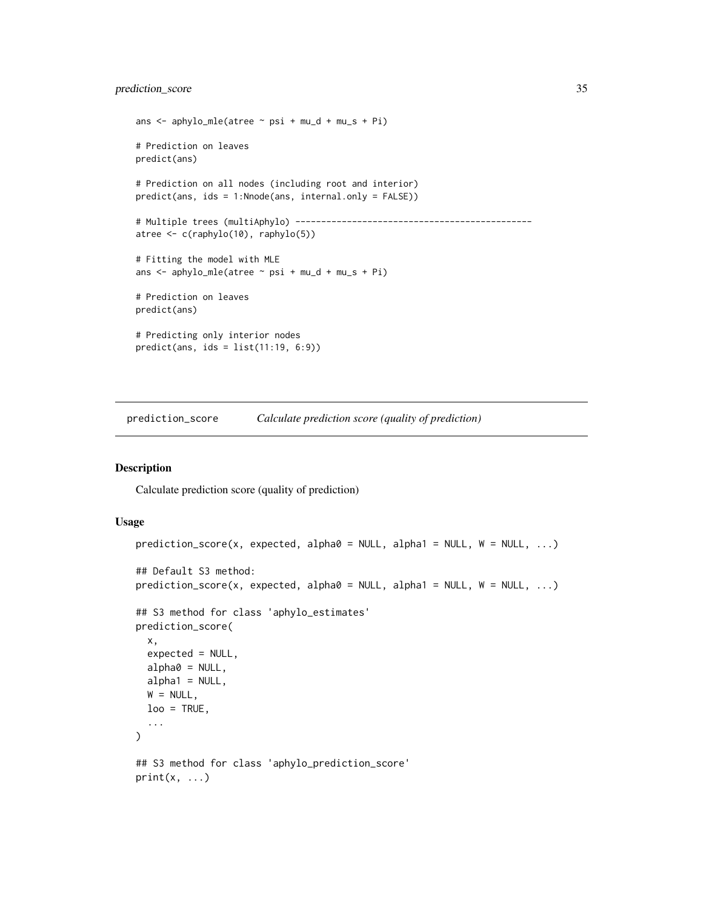# <span id="page-34-0"></span>prediction\_score 35

```
ans \leq aphylo_mle(atree \sim psi + mu_d + mu_s + Pi)
# Prediction on leaves
predict(ans)
# Prediction on all nodes (including root and interior)
predict(ans, ids = 1:Nnode(ans, internal.only = FALSE))
# Multiple trees (multiAphylo) ----------------------------------------------
atree <- c(raphylo(10), raphylo(5))
# Fitting the model with MLE
ans \le - aphylo_mle(atree \sim psi + mu_d + mu_s + Pi)
# Prediction on leaves
predict(ans)
# Predicting only interior nodes
predict(ans, ids = list(11:19, 6:9))
```
prediction\_score *Calculate prediction score (quality of prediction)*

# Description

Calculate prediction score (quality of prediction)

#### Usage

```
prediction_score(x, expected, alpha0 = NULL, alpha1 = NULL, W = NULL, ...)
## Default S3 method:
prediction\_score(x, expected, alpha0 = NULL, alpha1 = NULL, W = NULL, ...)## S3 method for class 'aphylo_estimates'
prediction_score(
  x,
  expected = NULL,
 alpha0 = NULL,alpha1 = NULL,W = NULL,loo = TRUE,...
)
## S3 method for class 'aphylo_prediction_score'
print(x, \ldots)
```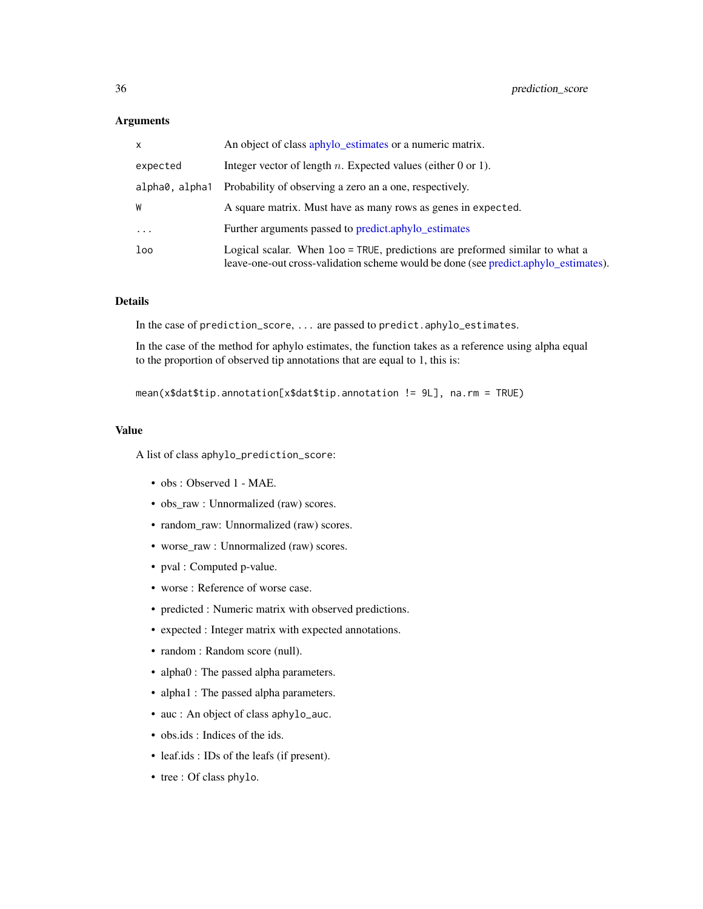#### <span id="page-35-0"></span>**Arguments**

| X              | An object of class aphylo_estimates or a numeric matrix.                                                                                                            |
|----------------|---------------------------------------------------------------------------------------------------------------------------------------------------------------------|
| expected       | Integer vector of length $n$ . Expected values (either 0 or 1).                                                                                                     |
| alpha0, alpha1 | Probability of observing a zero an a one, respectively.                                                                                                             |
| W              | A square matrix. Must have as many rows as genes in expected.                                                                                                       |
| $\ddots$ .     | Further arguments passed to predict.aphylo_estimates                                                                                                                |
| loo            | Logical scalar. When loo = TRUE, predictions are preformed similar to what a<br>leave-one-out cross-validation scheme would be done (see predict.aphylo_estimates). |

### Details

In the case of prediction\_score, ... are passed to predict.aphylo\_estimates.

In the case of the method for aphylo estimates, the function takes as a reference using alpha equal to the proportion of observed tip annotations that are equal to 1, this is:

```
mean(x$dat$tip.annotation[x$dat$tip.annotation != 9L], na.rm = TRUE)
```
#### Value

A list of class aphylo\_prediction\_score:

- obs : Observed 1 MAE.
- obs\_raw : Unnormalized (raw) scores.
- random\_raw: Unnormalized (raw) scores.
- worse\_raw : Unnormalized (raw) scores.
- pval : Computed p-value.
- worse : Reference of worse case.
- predicted : Numeric matrix with observed predictions.
- expected : Integer matrix with expected annotations.
- random : Random score (null).
- alpha0 : The passed alpha parameters.
- alpha1 : The passed alpha parameters.
- auc : An object of class aphylo\_auc.
- obs.ids : Indices of the ids.
- leaf.ids : IDs of the leafs (if present).
- tree : Of class phylo.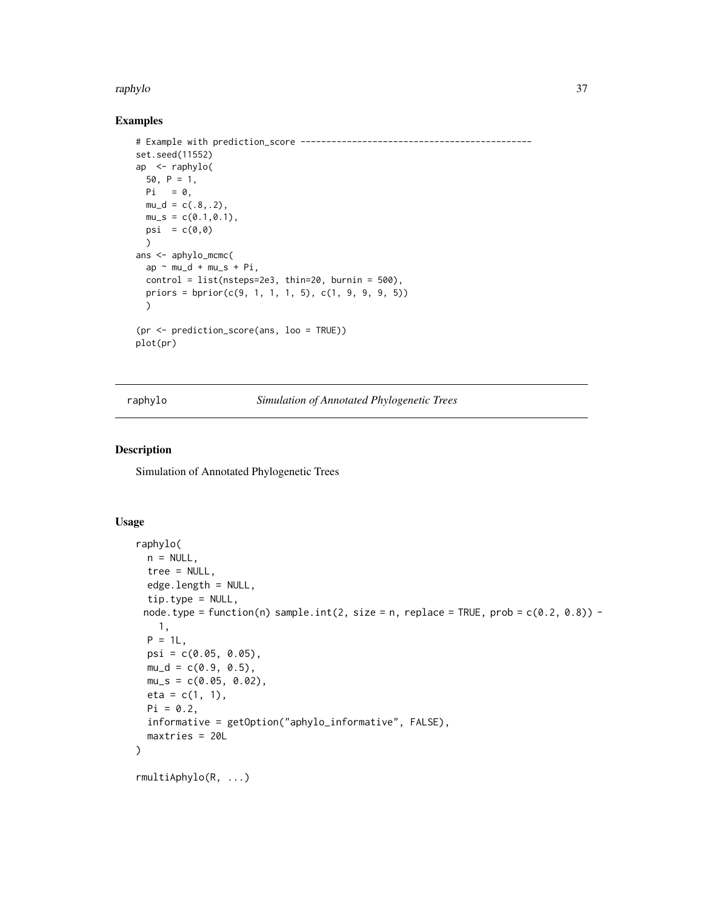#### <span id="page-36-0"></span>raphylo 37

### Examples

```
# Example with prediction_score ---------------------------------------------
set.seed(11552)
ap <- raphylo(
 50, P = 1,
 Pi = 0,mu_d = c(.8,.2),
  mu_s = c(0.1, 0.1),psi = c(\emptyset, \emptyset))
ans <- aphylo_mcmc(
  ap \sim mu_d + mu_s + Pi,
  control = list(nsteps=2e3, thin=20, burnin = 500),priors = bprior(c(9, 1, 1, 1, 5), c(1, 9, 9, 9, 5))
  \lambda(pr <- prediction_score(ans, loo = TRUE))
plot(pr)
```
raphylo *Simulation of Annotated Phylogenetic Trees*

#### Description

Simulation of Annotated Phylogenetic Trees

#### Usage

```
raphylo(
 n = NULL,tree = NULL,
 edge.length = NULL,
 tip.type = NULL,
 node.type = function(n) sample.int(2, size = n, replace = TRUE, prob = c(0.2, 0.8)) -
   1,
 P = 1L,
 psi = c(0.05, 0.05),
 mu_d = c(0.9, 0.5),
 mu_s = c(0.05, 0.02),
 eta = c(1, 1),Pi = 0.2,
 informative = getOption("aphylo_informative", FALSE),
 maxtries = 20L
)
rmultiAphylo(R, ...)
```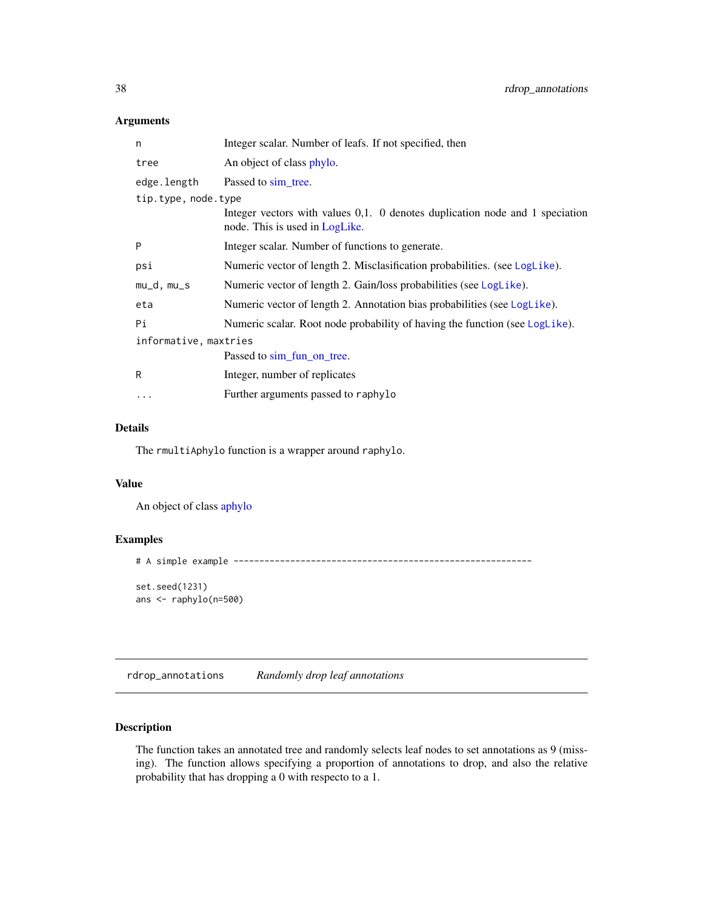### <span id="page-37-0"></span>Arguments

| n                     | Integer scalar. Number of leafs. If not specified, then                                                        |  |
|-----------------------|----------------------------------------------------------------------------------------------------------------|--|
| tree                  | An object of class phylo.                                                                                      |  |
| edge.length           | Passed to sim tree.                                                                                            |  |
| tip.type, node.type   |                                                                                                                |  |
|                       | Integer vectors with values 0,1. 0 denotes duplication node and 1 speciation<br>node. This is used in LogLike. |  |
| P                     | Integer scalar. Number of functions to generate.                                                               |  |
| psi                   | Numeric vector of length 2. Misclasification probabilities. (see LogLike).                                     |  |
| mu_d, mu_s            | Numeric vector of length 2. Gain/loss probabilities (see LogLike).                                             |  |
| eta                   | Numeric vector of length 2. Annotation bias probabilities (see LogLike).                                       |  |
| Рi                    | Numeric scalar. Root node probability of having the function (see LogLike).                                    |  |
| informative, maxtries |                                                                                                                |  |
|                       | Passed to sim_fun_on_tree.                                                                                     |  |
| R                     | Integer, number of replicates                                                                                  |  |
| .                     | Further arguments passed to raphylo                                                                            |  |
|                       |                                                                                                                |  |

### Details

The rmultiAphylo function is a wrapper around raphylo.

### Value

An object of class [aphylo](#page-4-1)

### Examples

```
# A simple example ----------------------------------------------------------
```
set.seed(1231) ans <- raphylo(n=500)

rdrop\_annotations *Randomly drop leaf annotations*

# Description

The function takes an annotated tree and randomly selects leaf nodes to set annotations as 9 (missing). The function allows specifying a proportion of annotations to drop, and also the relative probability that has dropping a 0 with respecto to a 1.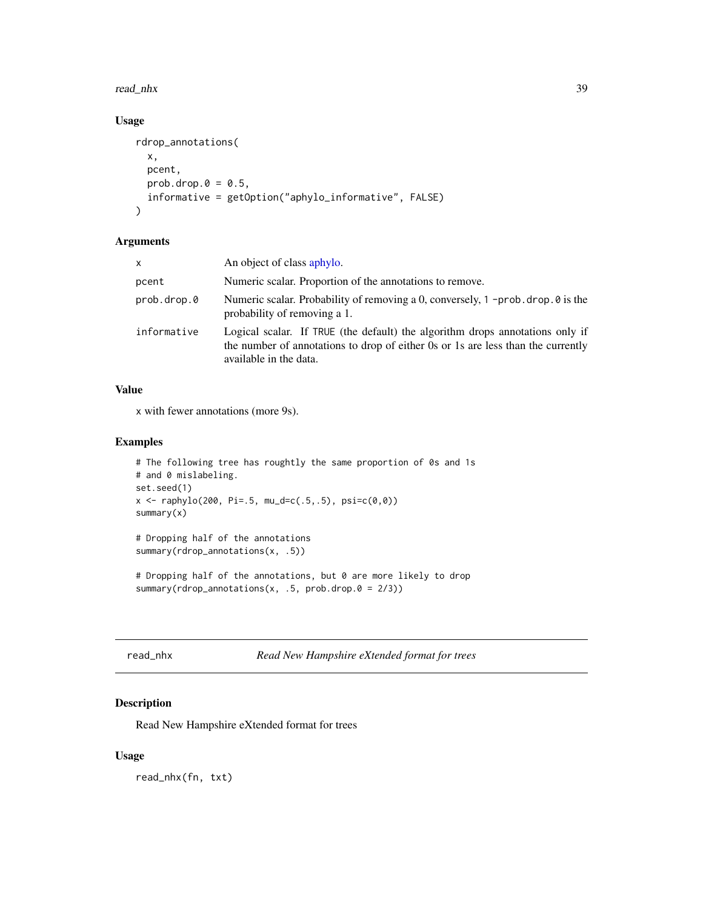#### <span id="page-38-0"></span>read\_nhx 39

# Usage

```
rdrop_annotations(
  x,
 pcent,
 prob.drop.0 = 0.5,
  informative = getOption("aphylo_informative", FALSE)
)
```
#### Arguments

| <b>X</b>    | An object of class aphylo.                                                                                                                                                                  |
|-------------|---------------------------------------------------------------------------------------------------------------------------------------------------------------------------------------------|
| pcent       | Numeric scalar. Proportion of the annotations to remove.                                                                                                                                    |
| prob.drop.0 | Numeric scalar. Probability of removing a 0, conversely, $1$ -prob. drop. 0 is the<br>probability of removing a 1.                                                                          |
| informative | Logical scalar. If TRUE (the default) the algorithm drops annotations only if<br>the number of annotations to drop of either 0s or 1s are less than the currently<br>available in the data. |

# Value

x with fewer annotations (more 9s).

# Examples

```
# The following tree has roughtly the same proportion of 0s and 1s
# and 0 mislabeling.
set.seed(1)
x \le raphylo(200, Pi=.5, mu_d=c(.5,.5), psi=c(0,0))
summary(x)
# Dropping half of the annotations
summary(rdrop_annotations(x, .5))
# Dropping half of the annotations, but 0 are more likely to drop
```
summary(rdrop\_annotations(x, .5, prob.drop. $0 = 2/3$ ))

#### <span id="page-38-1"></span>read\_nhx *Read New Hampshire eXtended format for trees*

# Description

Read New Hampshire eXtended format for trees

### Usage

read\_nhx(fn, txt)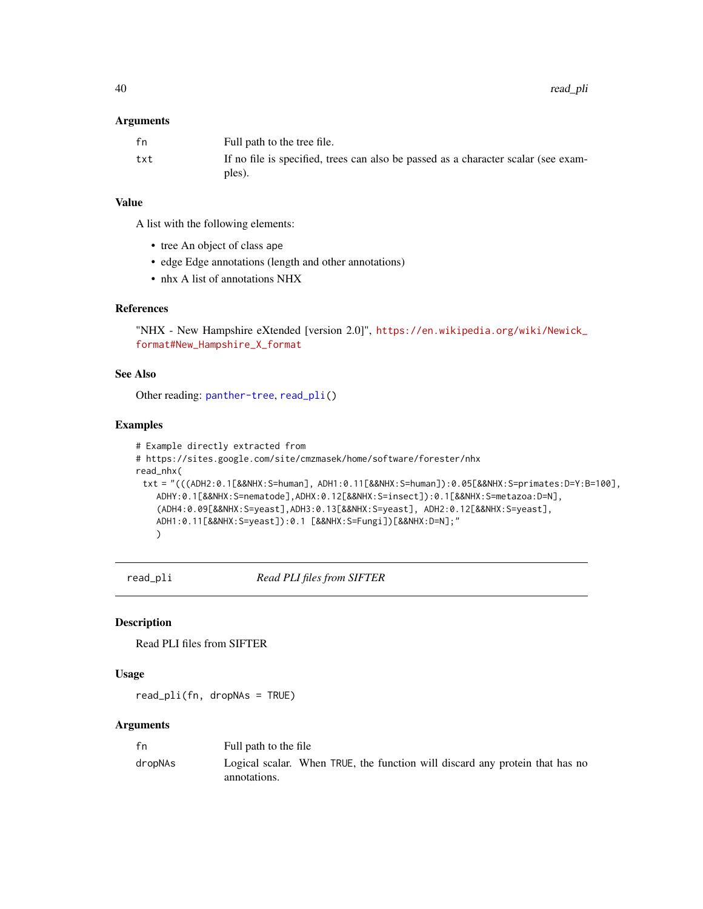#### <span id="page-39-0"></span>**Arguments**

| fn  | Full path to the tree file.                                                                  |
|-----|----------------------------------------------------------------------------------------------|
| txt | If no file is specified, trees can also be passed as a character scalar (see exam-<br>ples). |

# Value

A list with the following elements:

- tree An object of class ape
- edge Edge annotations (length and other annotations)
- nhx A list of annotations NHX

# References

"NHX - New Hampshire eXtended [version 2.0]", [https://en.wikipedia.org/wiki/Newick\\_](https://en.wikipedia.org/wiki/Newick_format#New_Hampshire_X_format) [format#New\\_Hampshire\\_X\\_format](https://en.wikipedia.org/wiki/Newick_format#New_Hampshire_X_format)

# See Also

Other reading: [panther-tree](#page-27-1), [read\\_pli\(](#page-39-1))

### Examples

```
# Example directly extracted from
# https://sites.google.com/site/cmzmasek/home/software/forester/nhx
read_nhx(
 txt = "(((ADH2:0.1[&&NHX:S=human], ADH1:0.11[&&NHX:S=human]):0.05[&&NHX:S=primates:D=Y:B=100],
   ADHY:0.1[&&NHX:S=nematode],ADHX:0.12[&&NHX:S=insect]):0.1[&&NHX:S=metazoa:D=N],
    (ADH4:0.09[&&NHX:S=yeast],ADH3:0.13[&&NHX:S=yeast], ADH2:0.12[&&NHX:S=yeast],
   ADH1:0.11[&&NHX:S=yeast]):0.1 [&&NHX:S=Fungi])[&&NHX:D=N];"
   )
```
<span id="page-39-1"></span>read\_pli *Read PLI files from SIFTER*

#### Description

Read PLI files from SIFTER

#### Usage

read\_pli(fn, dropNAs = TRUE)

# Arguments

| fn      | Full path to the file                                                                        |
|---------|----------------------------------------------------------------------------------------------|
| dropNAs | Logical scalar. When TRUE, the function will discard any protein that has no<br>annotations. |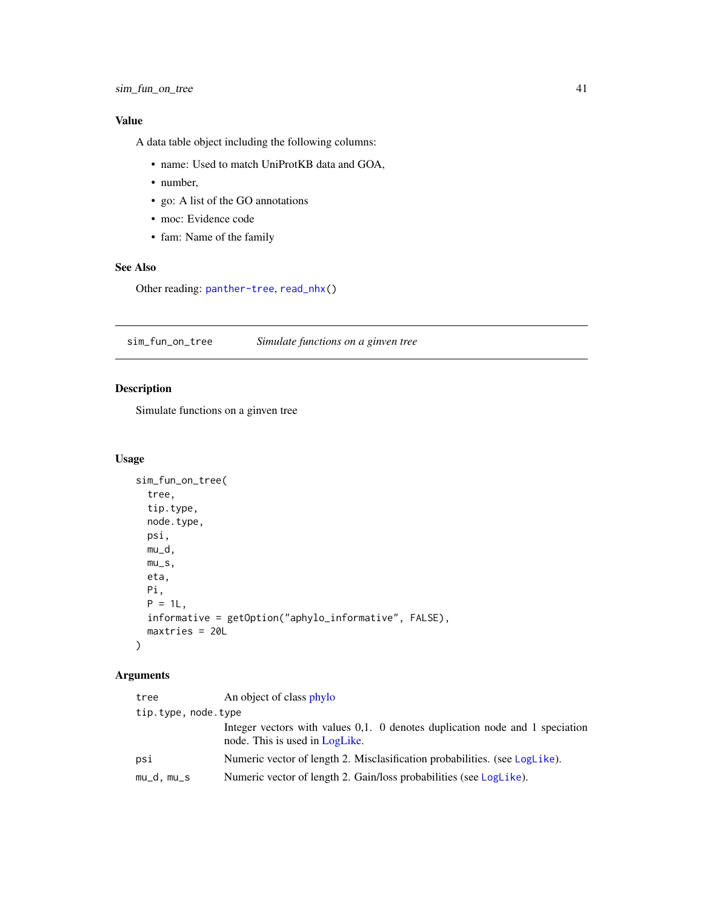# <span id="page-40-0"></span>Value

A data table object including the following columns:

- name: Used to match UniProtKB data and GOA,
- number,
- go: A list of the GO annotations
- moc: Evidence code
- fam: Name of the family

### See Also

Other reading: [panther-tree](#page-27-1), [read\\_nhx\(](#page-38-1))

<span id="page-40-1"></span>sim\_fun\_on\_tree *Simulate functions on a ginven tree*

# Description

Simulate functions on a ginven tree

### Usage

```
sim_fun_on_tree(
  tree,
  tip.type,
 node.type,
 psi,
 mu_d,
 mu_s,
 eta,
 Pi,
 P = 1L,
  informative = getOption("aphylo_informative", FALSE),
 maxtries = 20L
\mathcal{L}
```
# Arguments

| tree                | An object of class phylo                                                                                       |
|---------------------|----------------------------------------------------------------------------------------------------------------|
| tip.type, node.type |                                                                                                                |
|                     | Integer vectors with values 0,1. 0 denotes duplication node and 1 speciation<br>node. This is used in LogLike. |
| psi                 | Numeric vector of length 2. Misclasification probabilities. (see LogLike).                                     |
| mu_d, mu_s          | Numeric vector of length 2. Gain/loss probabilities (see LogLike).                                             |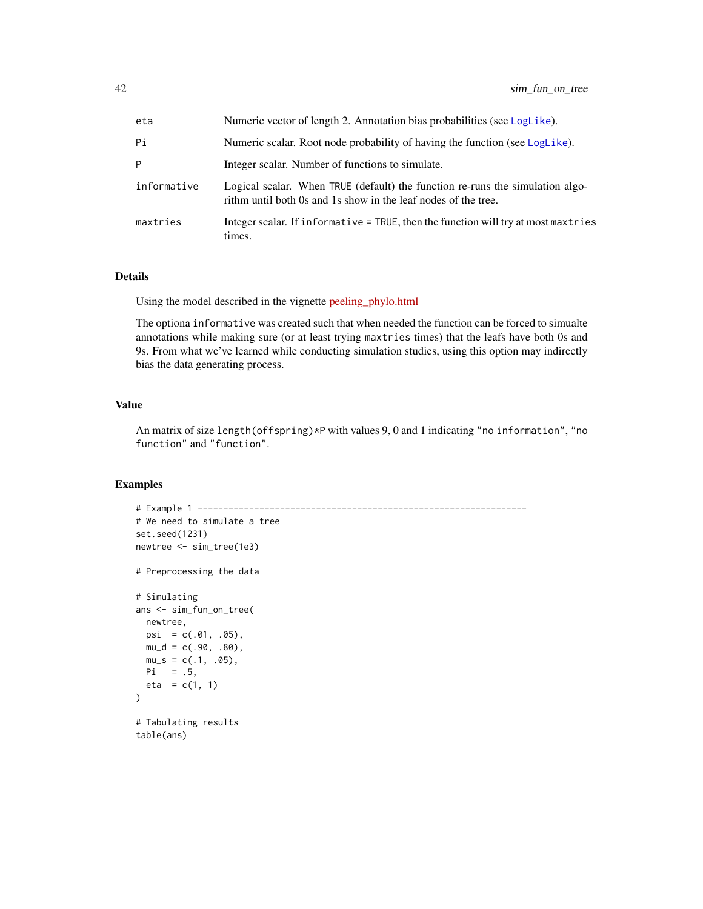<span id="page-41-0"></span>

| eta         | Numeric vector of length 2. Annotation bias probabilities (see LogLike).                                                                        |  |
|-------------|-------------------------------------------------------------------------------------------------------------------------------------------------|--|
| Pi          | Numeric scalar. Root node probability of having the function (see LogLike).                                                                     |  |
| P           | Integer scalar. Number of functions to simulate.                                                                                                |  |
| informative | Logical scalar. When TRUE (default) the function re-runs the simulation algo-<br>rithm until both 0s and 1s show in the leaf nodes of the tree. |  |
| maxtries    | Integer scalar. If informative = TRUE, then the function will try at most maxtries<br>times.                                                    |  |

### Details

Using the model described in the vignette [peeling\\_phylo.html](../doc/peeling_phylo.html)

The optiona informative was created such that when needed the function can be forced to simualte annotations while making sure (or at least trying maxtries times) that the leafs have both 0s and 9s. From what we've learned while conducting simulation studies, using this option may indirectly bias the data generating process.

### Value

An matrix of size length(offspring)\*P with values 9, 0 and 1 indicating "no information", "no function" and "function".

#### Examples

table(ans)

```
# Example 1 ----------------------------------------------------------------
# We need to simulate a tree
set.seed(1231)
newtree <- sim_tree(1e3)
# Preprocessing the data
# Simulating
ans <- sim_fun_on_tree(
 newtree,
 psi = c(.01, .05),
 mu_d = c(.90, .80),mu_s = c(.1, .05),
 Pi = .5,
  eta = c(1, 1))
# Tabulating results
```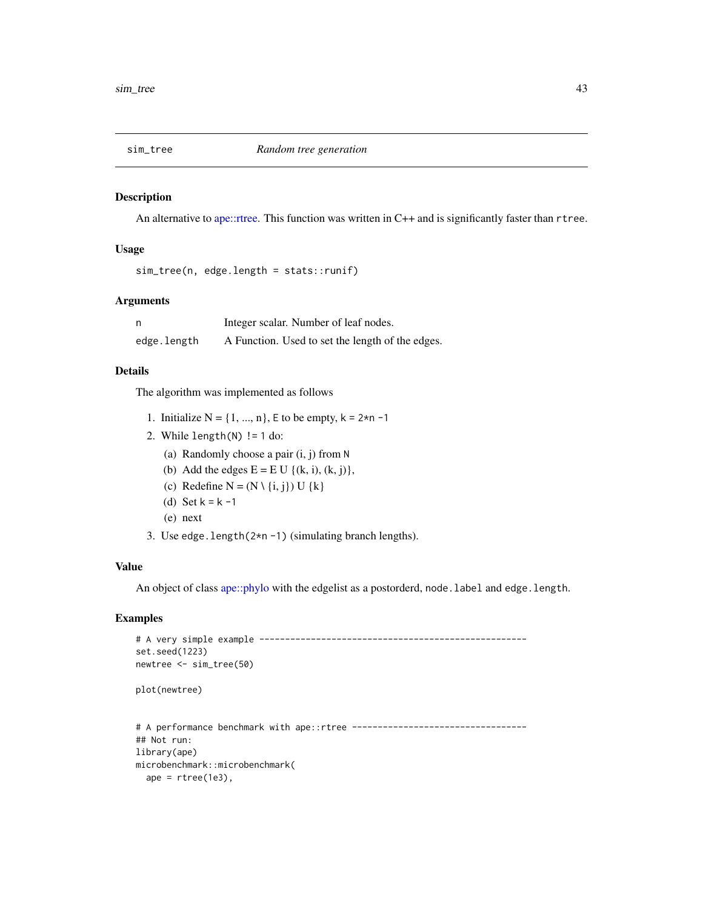<span id="page-42-1"></span><span id="page-42-0"></span>

#### Description

An alternative to [ape::rtree.](#page-0-0) This function was written in C++ and is significantly faster than rtree.

#### Usage

```
sim_tree(n, edge.length = stats::runif)
```
#### Arguments

|             | Integer scalar. Number of leaf nodes.            |
|-------------|--------------------------------------------------|
| edge.length | A Function. Used to set the length of the edges. |

### Details

The algorithm was implemented as follows

- 1. Initialize  $N = \{1, ..., n\}$ , E to be empty,  $k = 2*n -1$
- 2. While  $length(N)$  != 1 do:
	- (a) Randomly choose a pair (i, j) from N
	- (b) Add the edges  $E = E U \{(k, i), (k, j)\},\$
	- (c) Redefine  $N = (N \setminus \{i, j\})$  U  $\{k\}$
	- (d) Set  $k = k 1$
	- (e) next
- 3. Use edge.length(2\*n -1) (simulating branch lengths).

#### Value

An object of class [ape::phylo](#page-0-0) with the edgelist as a postorderd, node.label and edge.length.

# Examples

```
# A very simple example ----------------------------------------------------
set.seed(1223)
newtree <- sim_tree(50)
plot(newtree)
# A performance benchmark with ape::rtree ----------------------------------
## Not run:
library(ape)
microbenchmark::microbenchmark(
  ape = rtree(1e3),
```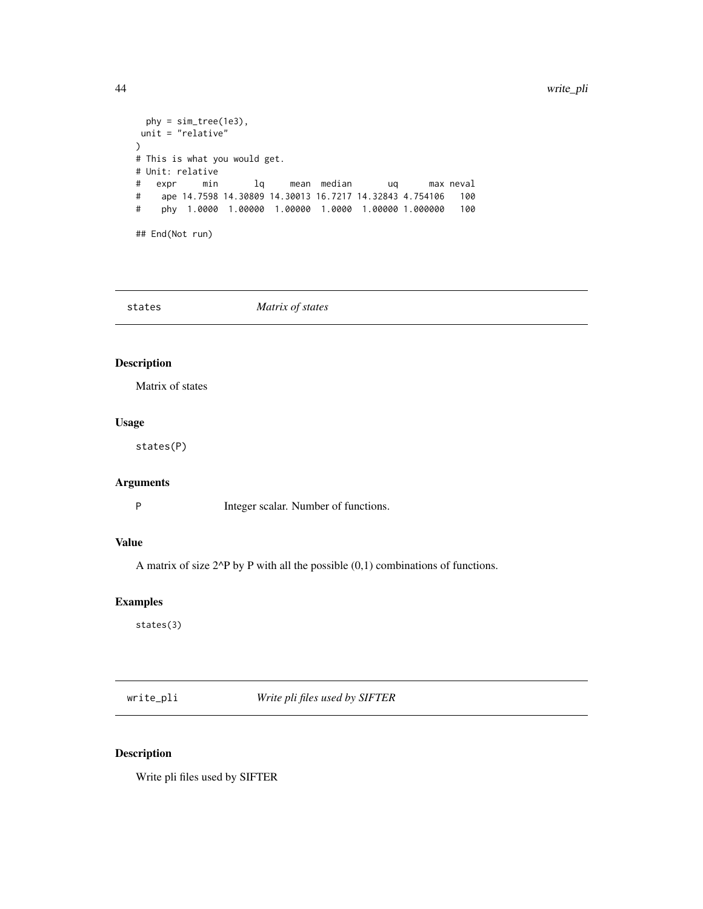```
phy = sim\_tree(1e3),
unit = "relative"
)
# This is what you would get.
# Unit: relative
# expr min lq mean median uq max neval
# ape 14.7598 14.30809 14.30013 16.7217 14.32843 4.754106 100
# phy 1.0000 1.00000 1.00000 1.0000 1.00000 1.000000 100
## End(Not run)
```
<span id="page-43-1"></span>

| states | Matrix of states |  |
|--------|------------------|--|
|--------|------------------|--|

# Description

Matrix of states

# Usage

states(P)

# Arguments

P Integer scalar. Number of functions.

# Value

A matrix of size 2^P by P with all the possible (0,1) combinations of functions.

# Examples

states(3)

write\_pli *Write pli files used by SIFTER*

# Description

Write pli files used by SIFTER

<span id="page-43-0"></span>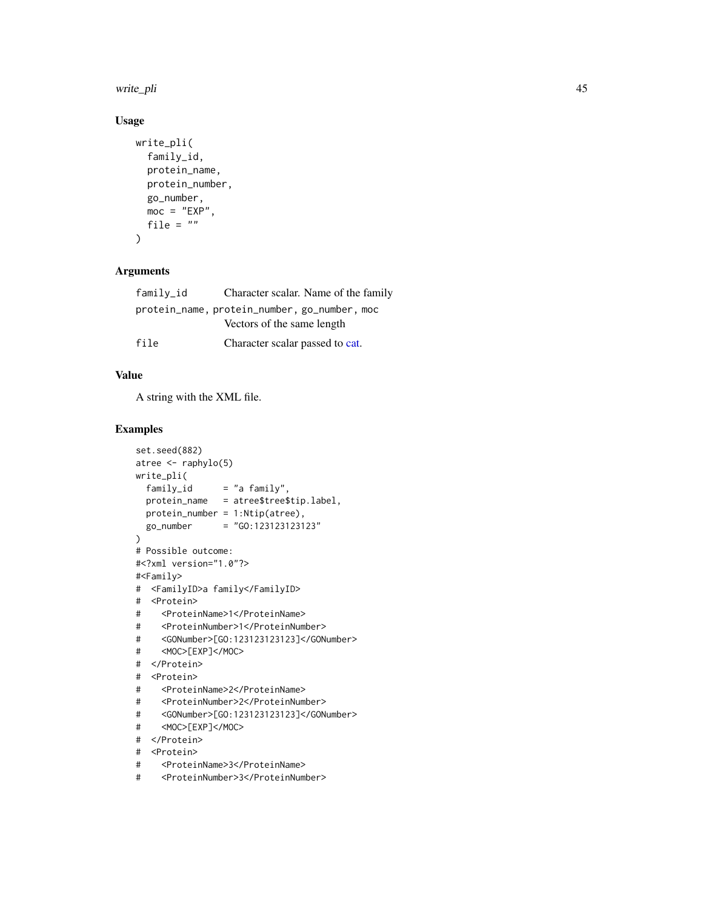<span id="page-44-0"></span>write\_pli 45

# Usage

```
write_pli(
  family_id,
 protein_name,
 protein_number,
 go_number,
 moc = "EXP",file = ")
```
# Arguments

| family_id                                    | Character scalar. Name of the family |
|----------------------------------------------|--------------------------------------|
| protein_name, protein_number, go_number, moc |                                      |
| Vectors of the same length                   |                                      |
| file                                         | Character scalar passed to cat.      |

# Value

A string with the XML file.

### Examples

```
set.seed(882)
atree <- raphylo(5)
write_pli(
 family\_id = "a family''.protein_name = atree$tree$tip.label,
 protein_number = 1:Ntip(atree),
 go_number = "GO:123123123123"
\lambda# Possible outcome:
#<?xml version="1.0"?>
#<Family>
# <FamilyID>a family</FamilyID>
# <Protein>
# <ProteinName>1</ProteinName>
# <ProteinNumber>1</ProteinNumber>
# <GONumber>[GO:123123123123]</GONumber>
# <MOC>[EXP]</MOC>
# </Protein>
# <Protein>
# <ProteinName>2</ProteinName>
# <ProteinNumber>2</ProteinNumber>
# <GONumber>[GO:123123123123]</GONumber>
# <MOC>[EXP]</MOC>
# </Protein>
# <Protein>
# <ProteinName>3</ProteinName>
# <ProteinNumber>3</ProteinNumber>
```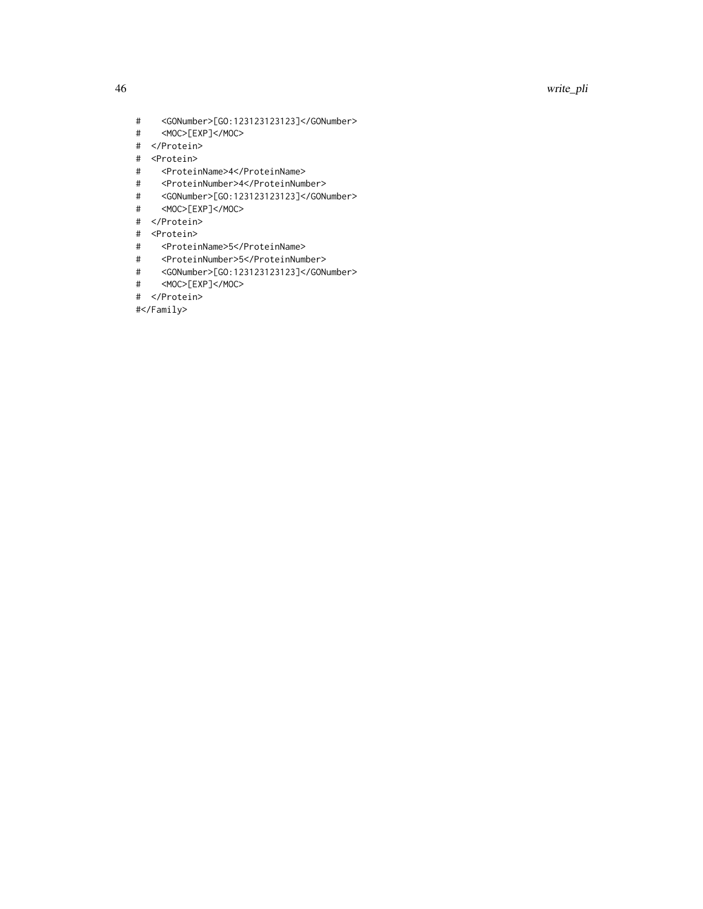46 write\_pli

- # <GONumber>[GO:123123123123]</GONumber>
- # <MOC>[EXP]</MOC>
- # </Protein>
- # <Protein>
- # <ProteinName>4</ProteinName>
- # <ProteinNumber>4</ProteinNumber>
- # <GONumber>[GO:123123123123]</GONumber>
- # <MOC>[EXP]</MOC>
- # </Protein>
- # <Protein>
- # <ProteinName>5</ProteinName>
- # <ProteinNumber>5</ProteinNumber>
- # <GONumber>[GO:123123123123]</GONumber>
- # <MOC>[EXP]</MOC>
- # </Protein>

#</Family>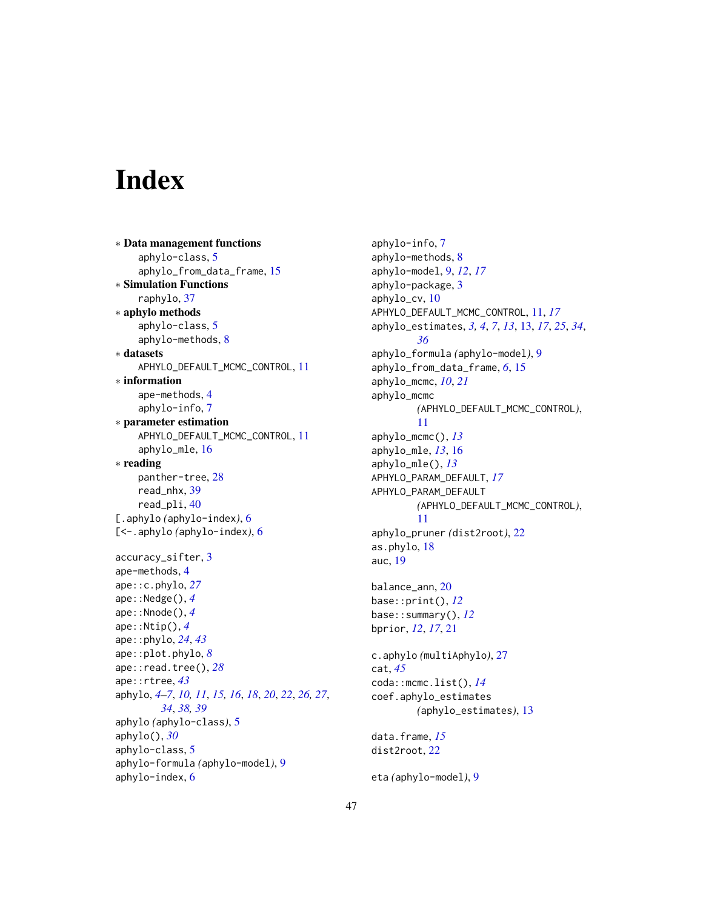# <span id="page-46-0"></span>**Index**

∗ Data management functions aphylo-class, [5](#page-4-0) aphylo\_from\_data\_frame, [15](#page-14-0) ∗ Simulation Functions raphylo, [37](#page-36-0) ∗ aphylo methods aphylo-class, [5](#page-4-0) aphylo-methods, [8](#page-7-0) ∗ datasets APHYLO\_DEFAULT\_MCMC\_CONTROL, [11](#page-10-0) ∗ information ape-methods, [4](#page-3-0) aphylo-info, [7](#page-6-0) ∗ parameter estimation APHYLO\_DEFAULT\_MCMC\_CONTROL, [11](#page-10-0) aphylo\_mle, [16](#page-15-0) ∗ reading panther-tree, [28](#page-27-0) read\_nhx, [39](#page-38-0) read\_pli, [40](#page-39-0) [.aphylo *(*aphylo-index*)*, [6](#page-5-0) [<-.aphylo *(*aphylo-index*)*, [6](#page-5-0) accuracy\_sifter, [3](#page-2-0) ape-methods, [4](#page-3-0) ape::c.phylo, *[27](#page-26-0)* ape::Nedge(), *[4](#page-3-0)* ape::Nnode(), *[4](#page-3-0)* ape::Ntip(), *[4](#page-3-0)* ape::phylo, *[24](#page-23-0)*, *[43](#page-42-0)* ape::plot.phylo, *[8](#page-7-0)* ape::read.tree(), *[28](#page-27-0)* ape::rtree, *[43](#page-42-0)* aphylo, *[4](#page-3-0)[–7](#page-6-0)*, *[10,](#page-9-0) [11](#page-10-0)*, *[15,](#page-14-0) [16](#page-15-0)*, *[18](#page-17-0)*, *[20](#page-19-0)*, *[22](#page-21-0)*, *[26,](#page-25-0) [27](#page-26-0)*, *[34](#page-33-0)*, *[38,](#page-37-0) [39](#page-38-0)* aphylo *(*aphylo-class*)*, [5](#page-4-0) aphylo(), *[30](#page-29-0)* aphylo-class, [5](#page-4-0) aphylo-formula *(*aphylo-model*)*, [9](#page-8-0) aphylo-index, [6](#page-5-0)

aphylo-info, [7](#page-6-0) aphylo-methods, [8](#page-7-0) aphylo-model, [9,](#page-8-0) *[12](#page-11-0)*, *[17](#page-16-0)* aphylo-package, [3](#page-2-0) aphylo\_cv, [10](#page-9-0) APHYLO\_DEFAULT\_MCMC\_CONTROL, [11,](#page-10-0) *[17](#page-16-0)* aphylo\_estimates, *[3,](#page-2-0) [4](#page-3-0)*, *[7](#page-6-0)*, *[13](#page-12-0)*, [13,](#page-12-0) *[17](#page-16-0)*, *[25](#page-24-0)*, *[34](#page-33-0)*, *[36](#page-35-0)* aphylo\_formula *(*aphylo-model*)*, [9](#page-8-0) aphylo\_from\_data\_frame, *[6](#page-5-0)*, [15](#page-14-0) aphylo\_mcmc, *[10](#page-9-0)*, *[21](#page-20-0)* aphylo\_mcmc *(*APHYLO\_DEFAULT\_MCMC\_CONTROL*)*, [11](#page-10-0) aphylo\_mcmc(), *[13](#page-12-0)* aphylo\_mle, *[13](#page-12-0)*, [16](#page-15-0) aphylo\_mle(), *[13](#page-12-0)* APHYLO\_PARAM\_DEFAULT, *[17](#page-16-0)* APHYLO\_PARAM\_DEFAULT *(*APHYLO\_DEFAULT\_MCMC\_CONTROL*)*, [11](#page-10-0) aphylo\_pruner *(*dist2root*)*, [22](#page-21-0) as.phylo, [18](#page-17-0) auc, [19](#page-18-0) balance\_ann, [20](#page-19-0) base::print(), *[12](#page-11-0)* base::summary(), *[12](#page-11-0)* bprior, *[12](#page-11-0)*, *[17](#page-16-0)*, [21](#page-20-0) c.aphylo *(*multiAphylo*)*, [27](#page-26-0) cat, *[45](#page-44-0)* coda::mcmc.list(), *[14](#page-13-0)* coef.aphylo\_estimates *(*aphylo\_estimates*)*, [13](#page-12-0) data.frame, *[15](#page-14-0)* dist2root, [22](#page-21-0) eta *(*aphylo-model*)*, [9](#page-8-0)